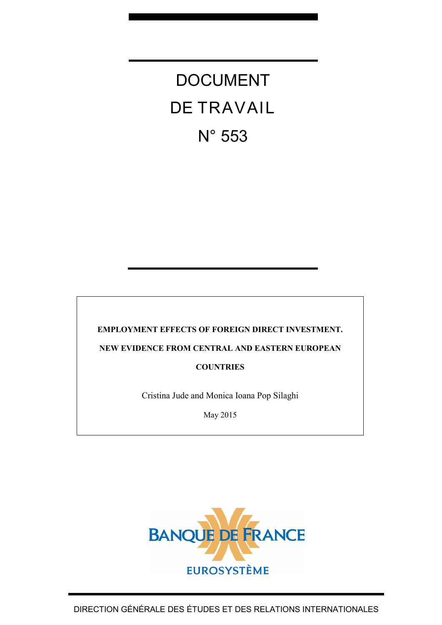DOCUMENT DE TRAVAIL N° 553

**EMPLOYMENT EFFECTS OF FOREIGN DIRECT INVESTMENT.**

**NEW EVIDENCE FROM CENTRAL AND EASTERN EUROPEAN**

**COUNTRIES**

Cristina Jude and Monica Ioana Pop Silaghi

May 2015

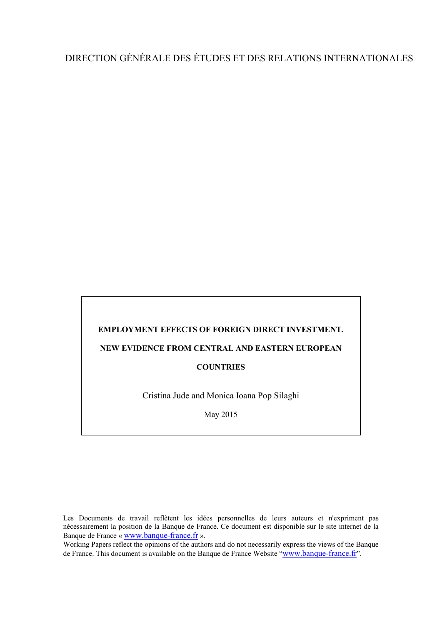# DIRECTION GÉNÉRALE DES ÉTUDES ET DES RELATIONS INTERNATIONALES

# **EMPLOYMENT EFFECTS OF FOREIGN DIRECT INVESTMENT. NEW EVIDENCE FROM CENTRAL AND EASTERN EUROPEAN COUNTRIES**

Cristina Jude and Monica Ioana Pop Silaghi

May 2015

Les Documents de travail reflètent les idées personnelles de leurs auteurs et n'expriment pas nécessairement la position de la Banque de France. Ce document est disponible sur le site internet de la Banque de France « [www.banque-france.fr](http://www.banque-france.fr/) ».

Working Papers reflect the opinions of the authors and do not necessarily express the views of the Banque de France. This document is available on the Banque de France Website ["www.banque-france.fr"](http://www.banque-france.fr/).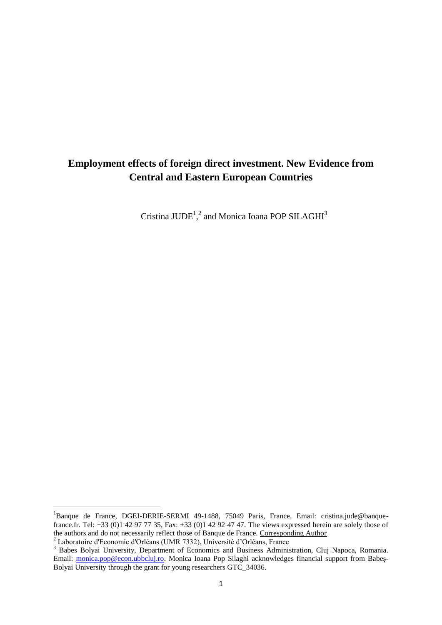## **Employment effects of foreign direct investment. New Evidence from Central and Eastern European Countries**

Cristina JUDE<sup>1</sup>,<sup>2</sup> and Monica Ioana POP SILAGHI<sup>3</sup>

**.** 

<sup>&</sup>lt;sup>1</sup>Banque de France, DGEI-DERIE-SERMI 49-1488, 75049 Paris, France. Email: cristina.jude@banquefrance.fr. Tel: +33 (0)1 42 97 77 35, Fax: +33 (0)1 42 92 47 47. The views expressed herein are solely those of the authors and do not necessarily reflect those of Banque de France. Corresponding Author

<sup>2</sup> Laboratoire d'Economie d'Orléans (UMR 7332), Université d'Orléans, France

<sup>&</sup>lt;sup>3</sup> Babes Bolyai University, Department of Economics and Business Administration, Cluj Napoca, Romania. Email: [monica.pop@econ.ubbcluj.ro.](mailto:monica.pop@econ.ubbcluj.ro) Monica Ioana Pop Silaghi acknowledges financial support from Babes-Bolyai University through the grant for young researchers GTC\_34036.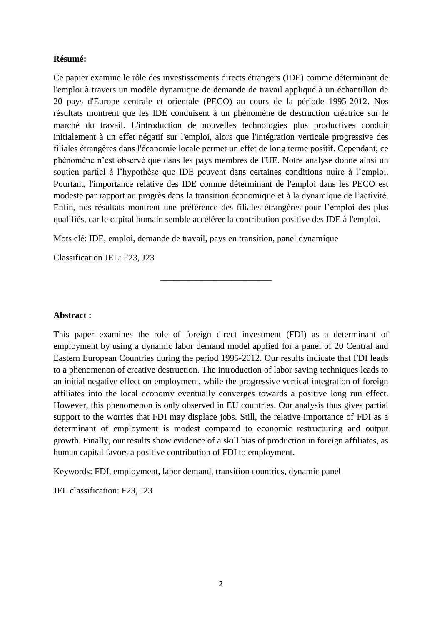### **Résumé:**

Ce papier examine le rôle des investissements directs étrangers (IDE) comme déterminant de l'emploi à travers un modèle dynamique de demande de travail appliqué à un échantillon de 20 pays d'Europe centrale et orientale (PECO) au cours de la période 1995-2012. Nos résultats montrent que les IDE conduisent à un phénomène de destruction créatrice sur le marché du travail. L'introduction de nouvelles technologies plus productives conduit initialement à un effet négatif sur l'emploi, alors que l'intégration verticale progressive des filiales étrangères dans l'économie locale permet un effet de long terme positif. Cependant, ce phénomène n'est observé que dans les pays membres de l'UE. Notre analyse donne ainsi un soutien partiel à l'hypothèse que IDE peuvent dans certaines conditions nuire à l'emploi. Pourtant, l'importance relative des IDE comme déterminant de l'emploi dans les PECO est modeste par rapport au progrès dans la transition économique et à la dynamique de l'activité. Enfin, nos résultats montrent une préférence des filiales étrangères pour l'emploi des plus qualifiés, car le capital humain semble accélérer la contribution positive des IDE à l'emploi.

Mots clé: IDE, emploi, demande de travail, pays en transition, panel dynamique

\_\_\_\_\_\_\_\_\_\_\_\_\_\_\_\_\_\_\_\_\_\_\_\_\_

Classification JEL: F23, J23

### **Abstract :**

This paper examines the role of foreign direct investment (FDI) as a determinant of employment by using a dynamic labor demand model applied for a panel of 20 Central and Eastern European Countries during the period 1995-2012. Our results indicate that FDI leads to a phenomenon of creative destruction. The introduction of labor saving techniques leads to an initial negative effect on employment, while the progressive vertical integration of foreign affiliates into the local economy eventually converges towards a positive long run effect. However, this phenomenon is only observed in EU countries. Our analysis thus gives partial support to the worries that FDI may displace jobs. Still, the relative importance of FDI as a determinant of employment is modest compared to economic restructuring and output growth. Finally, our results show evidence of a skill bias of production in foreign affiliates, as human capital favors a positive contribution of FDI to employment.

Keywords: FDI, employment, labor demand, transition countries, dynamic panel

JEL classification: F23, J23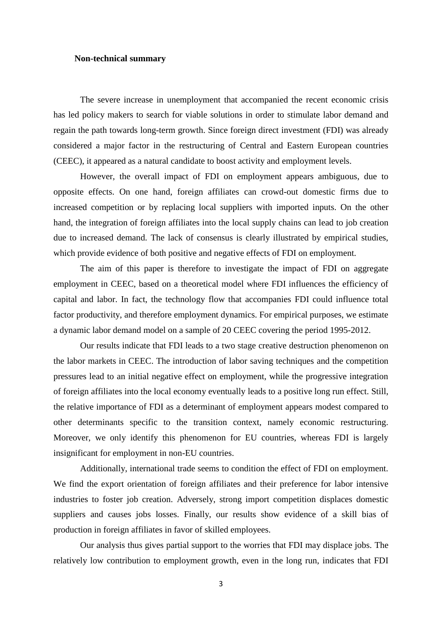#### **Non-technical summary**

The severe increase in unemployment that accompanied the recent economic crisis has led policy makers to search for viable solutions in order to stimulate labor demand and regain the path towards long-term growth. Since foreign direct investment (FDI) was already considered a major factor in the restructuring of Central and Eastern European countries (CEEC), it appeared as a natural candidate to boost activity and employment levels.

However, the overall impact of FDI on employment appears ambiguous, due to opposite effects. On one hand, foreign affiliates can crowd-out domestic firms due to increased competition or by replacing local suppliers with imported inputs. On the other hand, the integration of foreign affiliates into the local supply chains can lead to job creation due to increased demand. The lack of consensus is clearly illustrated by empirical studies, which provide evidence of both positive and negative effects of FDI on employment.

The aim of this paper is therefore to investigate the impact of FDI on aggregate employment in CEEC, based on a theoretical model where FDI influences the efficiency of capital and labor. In fact, the technology flow that accompanies FDI could influence total factor productivity, and therefore employment dynamics. For empirical purposes, we estimate a dynamic labor demand model on a sample of 20 CEEC covering the period 1995-2012.

Our results indicate that FDI leads to a two stage creative destruction phenomenon on the labor markets in CEEC. The introduction of labor saving techniques and the competition pressures lead to an initial negative effect on employment, while the progressive integration of foreign affiliates into the local economy eventually leads to a positive long run effect. Still, the relative importance of FDI as a determinant of employment appears modest compared to other determinants specific to the transition context, namely economic restructuring. Moreover, we only identify this phenomenon for EU countries, whereas FDI is largely insignificant for employment in non-EU countries.

Additionally, international trade seems to condition the effect of FDI on employment. We find the export orientation of foreign affiliates and their preference for labor intensive industries to foster job creation. Adversely, strong import competition displaces domestic suppliers and causes jobs losses. Finally, our results show evidence of a skill bias of production in foreign affiliates in favor of skilled employees.

Our analysis thus gives partial support to the worries that FDI may displace jobs. The relatively low contribution to employment growth, even in the long run, indicates that FDI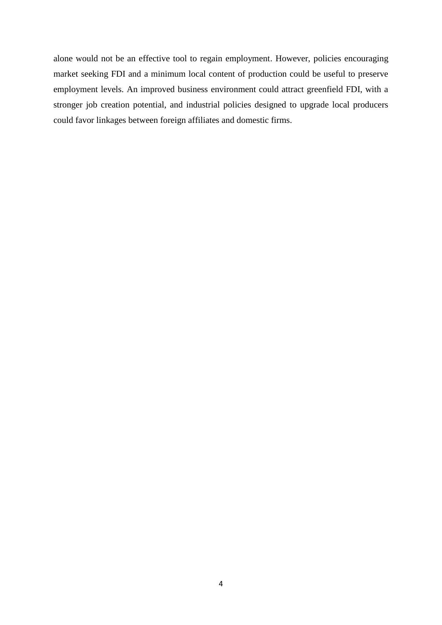alone would not be an effective tool to regain employment. However, policies encouraging market seeking FDI and a minimum local content of production could be useful to preserve employment levels. An improved business environment could attract greenfield FDI, with a stronger job creation potential, and industrial policies designed to upgrade local producers could favor linkages between foreign affiliates and domestic firms.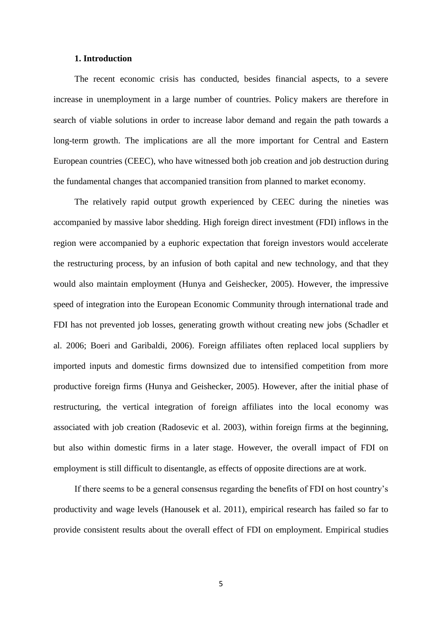#### **1. Introduction**

The recent economic crisis has conducted, besides financial aspects, to a severe increase in unemployment in a large number of countries. Policy makers are therefore in search of viable solutions in order to increase labor demand and regain the path towards a long-term growth. The implications are all the more important for Central and Eastern European countries (CEEC), who have witnessed both job creation and job destruction during the fundamental changes that accompanied transition from planned to market economy.

The relatively rapid output growth experienced by CEEC during the nineties was accompanied by massive labor shedding. High foreign direct investment (FDI) inflows in the region were accompanied by a euphoric expectation that foreign investors would accelerate the restructuring process, by an infusion of both capital and new technology, and that they would also maintain employment (Hunya and Geishecker, 2005). However, the impressive speed of integration into the European Economic Community through international trade and FDI has not prevented job losses, generating growth without creating new jobs (Schadler et al. 2006; Boeri and Garibaldi, 2006). Foreign affiliates often replaced local suppliers by imported inputs and domestic firms downsized due to intensified competition from more productive foreign firms (Hunya and Geishecker, 2005). However, after the initial phase of restructuring, the vertical integration of foreign affiliates into the local economy was associated with job creation (Radosevic et al. 2003), within foreign firms at the beginning, but also within domestic firms in a later stage. However, the overall impact of FDI on employment is still difficult to disentangle, as effects of opposite directions are at work.

If there seems to be a general consensus regarding the benefits of FDI on host country's productivity and wage levels (Hanousek et al. 2011), empirical research has failed so far to provide consistent results about the overall effect of FDI on employment. Empirical studies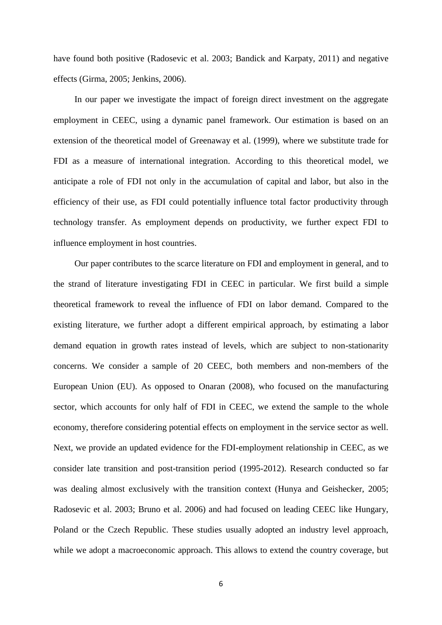have found both positive (Radosevic et al. 2003; Bandick and Karpaty, 2011) and negative effects (Girma, 2005; Jenkins, 2006).

In our paper we investigate the impact of foreign direct investment on the aggregate employment in CEEC, using a dynamic panel framework. Our estimation is based on an extension of the theoretical model of Greenaway et al. (1999), where we substitute trade for FDI as a measure of international integration. According to this theoretical model, we anticipate a role of FDI not only in the accumulation of capital and labor, but also in the efficiency of their use, as FDI could potentially influence total factor productivity through technology transfer. As employment depends on productivity, we further expect FDI to influence employment in host countries.

Our paper contributes to the scarce literature on FDI and employment in general, and to the strand of literature investigating FDI in CEEC in particular. We first build a simple theoretical framework to reveal the influence of FDI on labor demand. Compared to the existing literature, we further adopt a different empirical approach, by estimating a labor demand equation in growth rates instead of levels, which are subject to non-stationarity concerns. We consider a sample of 20 CEEC, both members and non-members of the European Union (EU). As opposed to Onaran (2008), who focused on the manufacturing sector, which accounts for only half of FDI in CEEC, we extend the sample to the whole economy, therefore considering potential effects on employment in the service sector as well. Next, we provide an updated evidence for the FDI-employment relationship in CEEC, as we consider late transition and post-transition period (1995-2012). Research conducted so far was dealing almost exclusively with the transition context (Hunya and Geishecker, 2005; Radosevic et al. 2003; Bruno et al. 2006) and had focused on leading CEEC like Hungary, Poland or the Czech Republic. These studies usually adopted an industry level approach, while we adopt a macroeconomic approach. This allows to extend the country coverage, but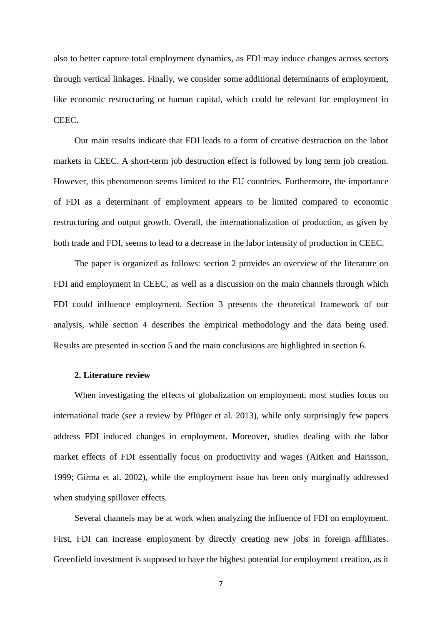also to better capture total employment dynamics, as FDI may induce changes across sectors through vertical linkages. Finally, we consider some additional determinants of employment, like economic restructuring or human capital, which could be relevant for employment in CEEC.

Our main results indicate that FDI leads to a form of creative destruction on the labor markets in CEEC. A short-term job destruction effect is followed by long term job creation. However, this phenomenon seems limited to the EU countries. Furthermore, the importance of FDI as a determinant of employment appears to be limited compared to economic restructuring and output growth. Overall, the internationalization of production, as given by both trade and FDI, seems to lead to a decrease in the labor intensity of production in CEEC.

The paper is organized as follows: section 2 provides an overview of the literature on FDI and employment in CEEC, as well as a discussion on the main channels through which FDI could influence employment. Section 3 presents the theoretical framework of our analysis, while section 4 describes the empirical methodology and the data being used. Results are presented in section 5 and the main conclusions are highlighted in section 6.

#### **2. Literature review**

When investigating the effects of globalization on employment, most studies focus on international trade (see a review by Pflüger et al. 2013), while only surprisingly few papers address FDI induced changes in employment. Moreover, studies dealing with the labor market effects of FDI essentially focus on productivity and wages (Aitken and Harisson, 1999; Girma et al. 2002), while the employment issue has been only marginally addressed when studying spillover effects.

Several channels may be at work when analyzing the influence of FDI on employment. First, FDI can increase employment by directly creating new jobs in foreign affiliates. Greenfield investment is supposed to have the highest potential for employment creation, as it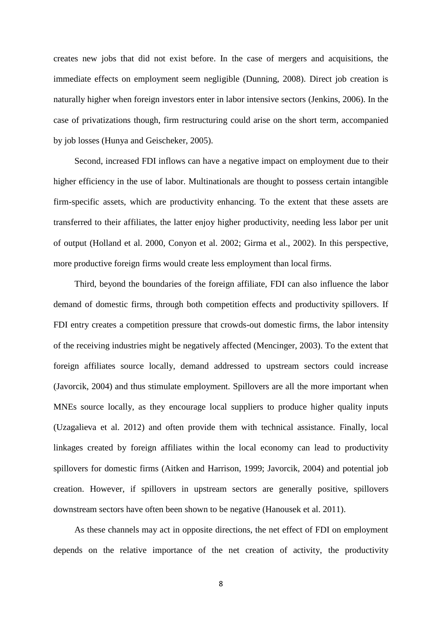creates new jobs that did not exist before. In the case of mergers and acquisitions, the immediate effects on employment seem negligible (Dunning, 2008). Direct job creation is naturally higher when foreign investors enter in labor intensive sectors (Jenkins, 2006). In the case of privatizations though, firm restructuring could arise on the short term, accompanied by job losses (Hunya and Geischeker, 2005).

Second, increased FDI inflows can have a negative impact on employment due to their higher efficiency in the use of labor. Multinationals are thought to possess certain intangible firm-specific assets, which are productivity enhancing. To the extent that these assets are transferred to their affiliates, the latter enjoy higher productivity, needing less labor per unit of output (Holland et al. 2000, Conyon et al. 2002; Girma et al., 2002). In this perspective, more productive foreign firms would create less employment than local firms.

Third, beyond the boundaries of the foreign affiliate, FDI can also influence the labor demand of domestic firms, through both competition effects and productivity spillovers. If FDI entry creates a competition pressure that crowds-out domestic firms, the labor intensity of the receiving industries might be negatively affected (Mencinger, 2003). To the extent that foreign affiliates source locally, demand addressed to upstream sectors could increase (Javorcik, 2004) and thus stimulate employment. Spillovers are all the more important when MNEs source locally, as they encourage local suppliers to produce higher quality inputs (Uzagalieva et al. 2012) and often provide them with technical assistance. Finally, local linkages created by foreign affiliates within the local economy can lead to productivity spillovers for domestic firms (Aitken and Harrison, 1999; Javorcik, 2004) and potential job creation. However, if spillovers in upstream sectors are generally positive, spillovers downstream sectors have often been shown to be negative (Hanousek et al. 2011).

As these channels may act in opposite directions, the net effect of FDI on employment depends on the relative importance of the net creation of activity, the productivity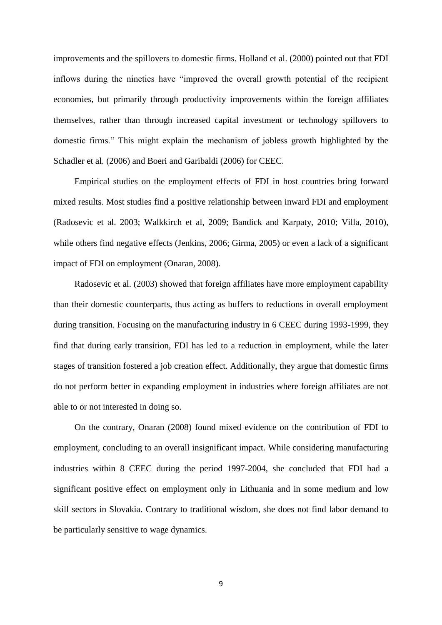improvements and the spillovers to domestic firms. Holland et al. (2000) pointed out that FDI inflows during the nineties have "improved the overall growth potential of the recipient economies, but primarily through productivity improvements within the foreign affiliates themselves, rather than through increased capital investment or technology spillovers to domestic firms." This might explain the mechanism of jobless growth highlighted by the Schadler et al. (2006) and Boeri and Garibaldi (2006) for CEEC.

Empirical studies on the employment effects of FDI in host countries bring forward mixed results. Most studies find a positive relationship between inward FDI and employment (Radosevic et al. 2003; Walkkirch et al, 2009; Bandick and Karpaty, 2010; Villa, 2010), while others find negative effects (Jenkins, 2006; Girma, 2005) or even a lack of a significant impact of FDI on employment (Onaran, 2008).

Radosevic et al. (2003) showed that foreign affiliates have more employment capability than their domestic counterparts, thus acting as buffers to reductions in overall employment during transition. Focusing on the manufacturing industry in 6 CEEC during 1993-1999, they find that during early transition, FDI has led to a reduction in employment, while the later stages of transition fostered a job creation effect. Additionally, they argue that domestic firms do not perform better in expanding employment in industries where foreign affiliates are not able to or not interested in doing so.

On the contrary, Onaran (2008) found mixed evidence on the contribution of FDI to employment, concluding to an overall insignificant impact. While considering manufacturing industries within 8 CEEC during the period 1997-2004, she concluded that FDI had a significant positive effect on employment only in Lithuania and in some medium and low skill sectors in Slovakia. Contrary to traditional wisdom, she does not find labor demand to be particularly sensitive to wage dynamics.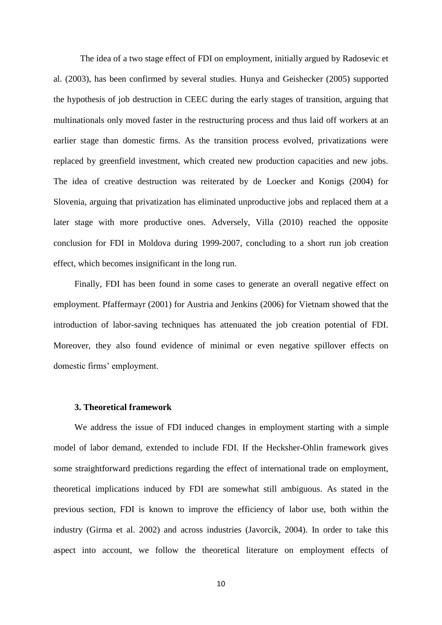The idea of a two stage effect of FDI on employment, initially argued by Radosevic et al. (2003), has been confirmed by several studies. Hunya and Geishecker (2005) supported the hypothesis of job destruction in CEEC during the early stages of transition, arguing that multinationals only moved faster in the restructuring process and thus laid off workers at an earlier stage than domestic firms. As the transition process evolved, privatizations were replaced by greenfield investment, which created new production capacities and new jobs. The idea of creative destruction was reiterated by de Loecker and Konigs (2004) for Slovenia, arguing that privatization has eliminated unproductive jobs and replaced them at a later stage with more productive ones. Adversely, Villa (2010) reached the opposite conclusion for FDI in Moldova during 1999-2007, concluding to a short run job creation effect, which becomes insignificant in the long run.

Finally, FDI has been found in some cases to generate an overall negative effect on employment. Pfaffermayr (2001) for Austria and Jenkins (2006) for Vietnam showed that the introduction of labor-saving techniques has attenuated the job creation potential of FDI. Moreover, they also found evidence of minimal or even negative spillover effects on domestic firms' employment.

### **3. Theoretical framework**

We address the issue of FDI induced changes in employment starting with a simple model of labor demand, extended to include FDI. If the Hecksher-Ohlin framework gives some straightforward predictions regarding the effect of international trade on employment, theoretical implications induced by FDI are somewhat still ambiguous. As stated in the previous section, FDI is known to improve the efficiency of labor use, both within the industry (Girma et al. 2002) and across industries (Javorcik, 2004). In order to take this aspect into account, we follow the theoretical literature on employment effects of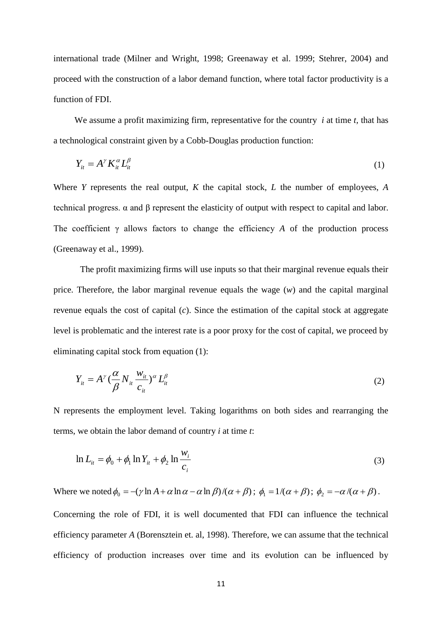international trade (Milner and Wright, 1998; Greenaway et al. 1999; Stehrer, 2004) and proceed with the construction of a labor demand function, where total factor productivity is a function of FDI.

We assume a profit maximizing firm, representative for the country *i* at time *t,* that has a technological constraint given by a Cobb-Douglas production function:

$$
Y_{it} = A^{\gamma} K_{it}^{\alpha} L_{it}^{\beta} \tag{1}
$$

Where *Y* represents the real output, *K* the capital stock, *L* the number of employees, *A* technical progress. α and β represent the elasticity of output with respect to capital and labor. The coefficient  $\gamma$  allows factors to change the efficiency *A* of the production process (Greenaway et al., 1999).

The profit maximizing firms will use inputs so that their marginal revenue equals their price. Therefore, the labor marginal revenue equals the wage (*w*) and the capital marginal revenue equals the cost of capital (*c*). Since the estimation of the capital stock at aggregate level is problematic and the interest rate is a poor proxy for the cost of capital, we proceed by eliminating capital stock from equation (1):

$$
Y_{it} = A^{\gamma} \left(\frac{\alpha}{\beta} N_{it} \frac{w_{it}}{c_{it}}\right)^{\alpha} L_{it}^{\beta}
$$
 (2)

N represents the employment level. Taking logarithms on both sides and rearranging the terms, we obtain the labor demand of country *i* at time *t*:

$$
\ln L_{it} = \phi_0 + \phi_1 \ln Y_{it} + \phi_2 \ln \frac{w_i}{c_i}
$$
 (3)

Where we noted  $\phi_0 = -(\gamma \ln A + \alpha \ln \alpha - \alpha \ln \beta)/(\alpha + \beta)$ ;  $\phi_1 = 1/(\alpha + \beta)$ ;  $\phi_2 = -\alpha/(\alpha + \beta)$ . Concerning the role of FDI, it is well documented that FDI can influence the technical efficiency parameter *A* (Borensztein et. al, 1998). Therefore, we can assume that the technical efficiency of production increases over time and its evolution can be influenced by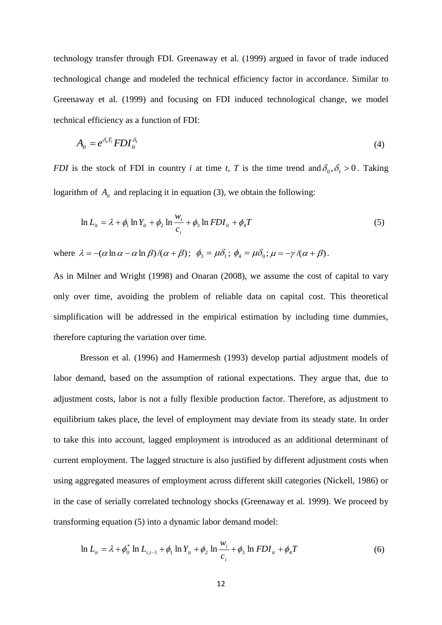technology transfer through FDI. Greenaway et al. (1999) argued in favor of trade induced technological change and modeled the technical efficiency factor in accordance. Similar to Greenaway et al. (1999) and focusing on FDI induced technological change, we model technical efficiency as a function of FDI:

$$
A_{it} = e^{\delta_o T_i} F D I_{it}^{\delta_i} \tag{4}
$$

*FDI* is the stock of FDI in country *i* at time *t*, *T* is the time trend and  $\delta_0$ ,  $\delta_1 > 0$ . Taking logarithm of  $A_{it}$  and replacing it in equation (3), we obtain the following:

$$
\ln L_{it} = \lambda + \phi_1 \ln Y_{it} + \phi_2 \ln \frac{w_i}{c_i} + \phi_3 \ln FDI_{it} + \phi_4 T
$$
 (5)

where  $\lambda = -(\alpha \ln \alpha - \alpha \ln \beta)/(\alpha + \beta)$ ;  $\phi_3 = \mu \delta_1$ ;  $\phi_4 = \mu \delta_0$ ;  $\mu = -\gamma/(\alpha + \beta)$ .

As in Milner and Wright (1998) and Onaran (2008), we assume the cost of capital to vary only over time, avoiding the problem of reliable data on capital cost. This theoretical simplification will be addressed in the empirical estimation by including time dummies, therefore capturing the variation over time.

Bresson et al. (1996) and Hamermesh (1993) develop partial adjustment models of labor demand, based on the assumption of rational expectations. They argue that, due to adjustment costs, labor is not a fully flexible production factor. Therefore, as adjustment to equilibrium takes place, the level of employment may deviate from its steady state. In order to take this into account, lagged employment is introduced as an additional determinant of current employment. The lagged structure is also justified by different adjustment costs when using aggregated measures of employment across different skill categories (Nickell, 1986) or in the case of serially correlated technology shocks (Greenaway et al. 1999). We proceed by transforming equation (5) into a dynamic labor demand model:

$$
\ln L_{it} = \lambda + \phi_0^* \ln L_{i,t-1} + \phi_1 \ln Y_{it} + \phi_2 \ln \frac{w_i}{c_i} + \phi_3 \ln FDI_{it} + \phi_4 T
$$
 (6)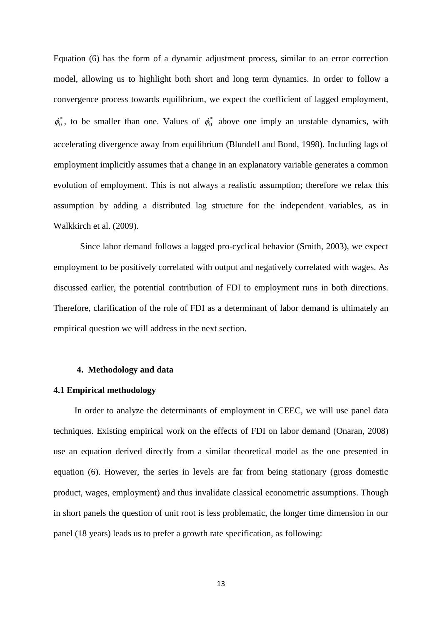Equation (6) has the form of a dynamic adjustment process, similar to an error correction model, allowing us to highlight both short and long term dynamics. In order to follow a convergence process towards equilibrium, we expect the coefficient of lagged employment,  $\phi_0^*$ , to be smaller than one. Values of  $\phi_0^*$  above one imply an unstable dynamics, with accelerating divergence away from equilibrium (Blundell and Bond, 1998). Including lags of employment implicitly assumes that a change in an explanatory variable generates a common evolution of employment. This is not always a realistic assumption; therefore we relax this assumption by adding a distributed lag structure for the independent variables, as in Walkkirch et al. (2009).

Since labor demand follows a lagged pro-cyclical behavior (Smith, 2003), we expect employment to be positively correlated with output and negatively correlated with wages. As discussed earlier, the potential contribution of FDI to employment runs in both directions. Therefore, clarification of the role of FDI as a determinant of labor demand is ultimately an empirical question we will address in the next section.

### **4. Methodology and data**

#### **4.1 Empirical methodology**

In order to analyze the determinants of employment in CEEC, we will use panel data techniques. Existing empirical work on the effects of FDI on labor demand (Onaran, 2008) use an equation derived directly from a similar theoretical model as the one presented in equation (6). However, the series in levels are far from being stationary (gross domestic product, wages, employment) and thus invalidate classical econometric assumptions. Though in short panels the question of unit root is less problematic, the longer time dimension in our panel (18 years) leads us to prefer a growth rate specification, as following: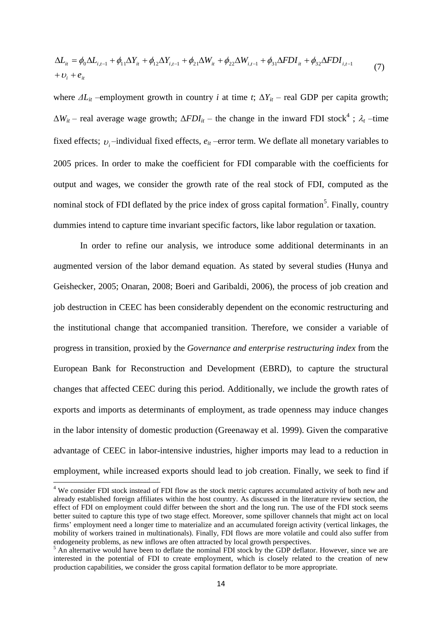$$
\Delta L_{it} = \phi_0 \Delta L_{i,t-1} + \phi_{11} \Delta Y_{it} + \phi_{12} \Delta Y_{i,t-1} + \phi_{21} \Delta W_{it} + \phi_{22} \Delta W_{i,t-1} + \phi_{31} \Delta FDI_{it} + \phi_{32} \Delta FDI_{i,t-1}
$$
  
+  $\nu_i + e_{it}$  (7)

where  $\Delta L_i$  –employment growth in country *i* at time *t*;  $\Delta Y_i$  – real GDP per capita growth;  $\Delta W_{it}$  – real average wage growth;  $\Delta FDI_{it}$  – the change in the inward FDI stock<sup>4</sup>;  $\lambda_t$  –time fixed effects;  $v_i$ -individual fixed effects,  $e_{it}$ -error term. We deflate all monetary variables to 2005 prices. In order to make the coefficient for FDI comparable with the coefficients for output and wages, we consider the growth rate of the real stock of FDI, computed as the nominal stock of FDI deflated by the price index of gross capital formation<sup>5</sup>. Finally, country dummies intend to capture time invariant specific factors, like labor regulation or taxation.

In order to refine our analysis, we introduce some additional determinants in an augmented version of the labor demand equation. As stated by several studies (Hunya and Geishecker, 2005; Onaran, 2008; Boeri and Garibaldi, 2006), the process of job creation and job destruction in CEEC has been considerably dependent on the economic restructuring and the institutional change that accompanied transition. Therefore, we consider a variable of progress in transition, proxied by the *Governance and enterprise restructuring index* from the European Bank for Reconstruction and Development (EBRD), to capture the structural changes that affected CEEC during this period. Additionally, we include the growth rates of exports and imports as determinants of employment, as trade openness may induce changes in the labor intensity of domestic production (Greenaway et al. 1999). Given the comparative advantage of CEEC in labor-intensive industries, higher imports may lead to a reduction in employment, while increased exports should lead to job creation. Finally, we seek to find if

**.** 

<sup>&</sup>lt;sup>4</sup> We consider FDI stock instead of FDI flow as the stock metric captures accumulated activity of both new and already established foreign affiliates within the host country. As discussed in the literature review section, the effect of FDI on employment could differ between the short and the long run. The use of the FDI stock seems better suited to capture this type of two stage effect. Moreover, some spillover channels that might act on local firms' employment need a longer time to materialize and an accumulated foreign activity (vertical linkages, the mobility of workers trained in multinationals). Finally, FDI flows are more volatile and could also suffer from endogeneity problems, as new inflows are often attracted by local growth perspectives.

<sup>&</sup>lt;sup>5</sup> An alternative would have been to deflate the nominal FDI stock by the GDP deflator. However, since we are interested in the potential of FDI to create employment, which is closely related to the creation of new production capabilities, we consider the gross capital formation deflator to be more appropriate.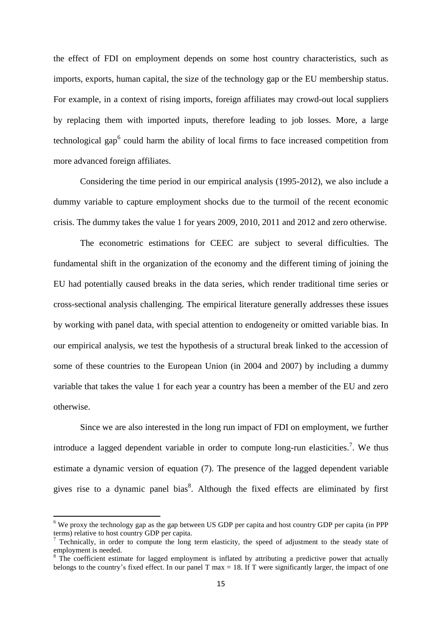the effect of FDI on employment depends on some host country characteristics, such as imports, exports, human capital, the size of the technology gap or the EU membership status. For example, in a context of rising imports, foreign affiliates may crowd-out local suppliers by replacing them with imported inputs, therefore leading to job losses. More, a large technological gap<sup>6</sup> could harm the ability of local firms to face increased competition from more advanced foreign affiliates.

Considering the time period in our empirical analysis (1995-2012), we also include a dummy variable to capture employment shocks due to the turmoil of the recent economic crisis. The dummy takes the value 1 for years 2009, 2010, 2011 and 2012 and zero otherwise.

The econometric estimations for CEEC are subject to several difficulties. The fundamental shift in the organization of the economy and the different timing of joining the EU had potentially caused breaks in the data series, which render traditional time series or cross-sectional analysis challenging. The empirical literature generally addresses these issues by working with panel data, with special attention to endogeneity or omitted variable bias. In our empirical analysis, we test the hypothesis of a structural break linked to the accession of some of these countries to the European Union (in 2004 and 2007) by including a dummy variable that takes the value 1 for each year a country has been a member of the EU and zero otherwise.

Since we are also interested in the long run impact of FDI on employment, we further introduce a lagged dependent variable in order to compute long-run elasticities.<sup>7</sup>. We thus estimate a dynamic version of equation (7). The presence of the lagged dependent variable gives rise to a dynamic panel bias ${}^{8}$ . Although the fixed effects are eliminated by first

1

 $6$  We proxy the technology gap as the gap between US GDP per capita and host country GDP per capita (in PPP terms) relative to host country GDP per capita.

 $\frac{7}{1}$  Technically, in order to compute the long term elasticity, the speed of adjustment to the steady state of employment is needed.

<sup>&</sup>lt;sup>8</sup> The coefficient estimate for lagged employment is inflated by attributing a predictive power that actually belongs to the country's fixed effect. In our panel T max = 18. If T were significantly larger, the impact of one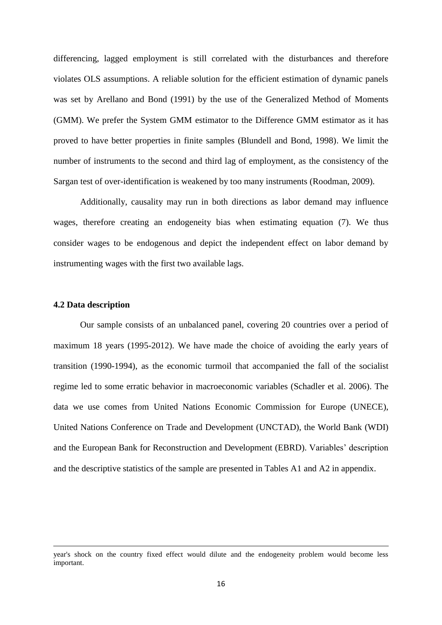differencing, lagged employment is still correlated with the disturbances and therefore violates OLS assumptions. A reliable solution for the efficient estimation of dynamic panels was set by Arellano and Bond (1991) by the use of the Generalized Method of Moments (GMM). We prefer the System GMM estimator to the Difference GMM estimator as it has proved to have better properties in finite samples (Blundell and Bond, 1998). We limit the number of instruments to the second and third lag of employment, as the consistency of the Sargan test of over-identification is weakened by too many instruments (Roodman, 2009).

Additionally, causality may run in both directions as labor demand may influence wages, therefore creating an endogeneity bias when estimating equation (7). We thus consider wages to be endogenous and depict the independent effect on labor demand by instrumenting wages with the first two available lags.

### **4.2 Data description**

**.** 

Our sample consists of an unbalanced panel, covering 20 countries over a period of maximum 18 years (1995-2012). We have made the choice of avoiding the early years of transition (1990-1994), as the economic turmoil that accompanied the fall of the socialist regime led to some erratic behavior in macroeconomic variables (Schadler et al. 2006). The data we use comes from United Nations Economic Commission for Europe (UNECE), United Nations Conference on Trade and Development (UNCTAD), the World Bank (WDI) and the European Bank for Reconstruction and Development (EBRD). Variables' description and the descriptive statistics of the sample are presented in Tables A1 and A2 in appendix.

year's shock on the country fixed effect would dilute and the endogeneity problem would become less important.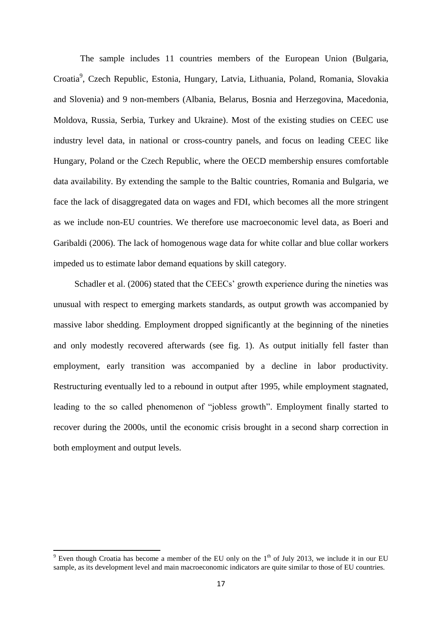The sample includes 11 countries members of the European Union (Bulgaria, Croatia<sup>9</sup>, Czech Republic, Estonia, Hungary, Latvia, Lithuania, Poland, Romania, Slovakia and Slovenia) and 9 non-members (Albania, Belarus, Bosnia and Herzegovina, Macedonia, Moldova, Russia, Serbia, Turkey and Ukraine). Most of the existing studies on CEEC use industry level data, in national or cross-country panels, and focus on leading CEEC like Hungary, Poland or the Czech Republic, where the OECD membership ensures comfortable data availability. By extending the sample to the Baltic countries, Romania and Bulgaria, we face the lack of disaggregated data on wages and FDI, which becomes all the more stringent as we include non-EU countries. We therefore use macroeconomic level data, as Boeri and Garibaldi (2006). The lack of homogenous wage data for white collar and blue collar workers impeded us to estimate labor demand equations by skill category.

Schadler et al. (2006) stated that the CEECs' growth experience during the nineties was unusual with respect to emerging markets standards, as output growth was accompanied by massive labor shedding. Employment dropped significantly at the beginning of the nineties and only modestly recovered afterwards (see fig. 1). As output initially fell faster than employment, early transition was accompanied by a decline in labor productivity. Restructuring eventually led to a rebound in output after 1995, while employment stagnated, leading to the so called phenomenon of "jobless growth". Employment finally started to recover during the 2000s, until the economic crisis brought in a second sharp correction in both employment and output levels.

**.** 

<sup>&</sup>lt;sup>9</sup> Even though Croatia has become a member of the EU only on the  $1<sup>th</sup>$  of July 2013, we include it in our EU sample, as its development level and main macroeconomic indicators are quite similar to those of EU countries.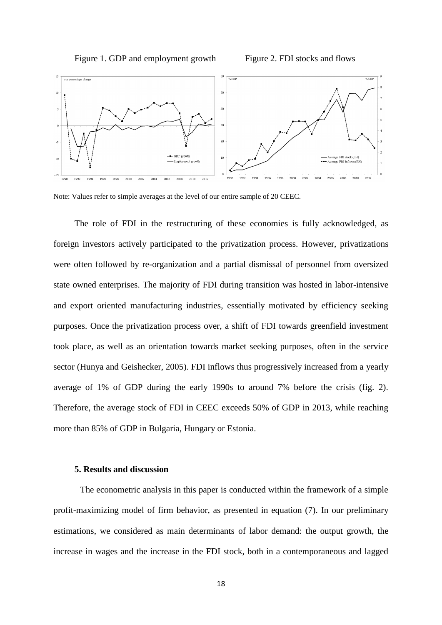

Note: Values refer to simple averages at the level of our entire sample of 20 CEEC.

The role of FDI in the restructuring of these economies is fully acknowledged, as foreign investors actively participated to the privatization process. However, privatizations were often followed by re-organization and a partial dismissal of personnel from oversized state owned enterprises. The majority of FDI during transition was hosted in labor-intensive and export oriented manufacturing industries, essentially motivated by efficiency seeking purposes. Once the privatization process over, a shift of FDI towards greenfield investment took place, as well as an orientation towards market seeking purposes, often in the service sector (Hunya and Geishecker, 2005). FDI inflows thus progressively increased from a yearly average of 1% of GDP during the early 1990s to around 7% before the crisis (fig. 2). Therefore, the average stock of FDI in CEEC exceeds 50% of GDP in 2013, while reaching more than 85% of GDP in Bulgaria, Hungary or Estonia.

### **5. Results and discussion**

The econometric analysis in this paper is conducted within the framework of a simple profit-maximizing model of firm behavior, as presented in equation (7). In our preliminary estimations, we considered as main determinants of labor demand: the output growth, the increase in wages and the increase in the FDI stock, both in a contemporaneous and lagged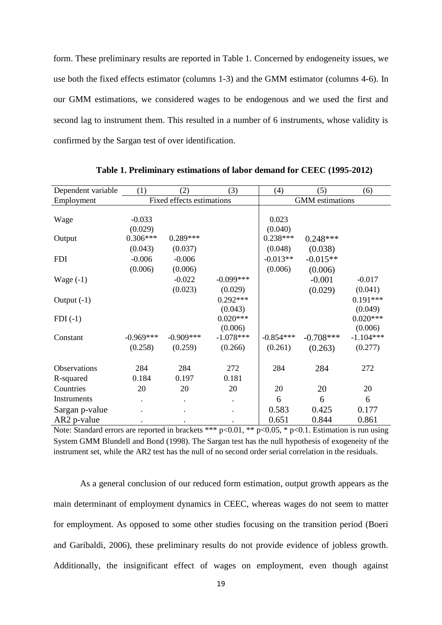form. These preliminary results are reported in Table 1. Concerned by endogeneity issues, we use both the fixed effects estimator (columns 1-3) and the GMM estimator (columns 4-6). In our GMM estimations, we considered wages to be endogenous and we used the first and second lag to instrument them. This resulted in a number of 6 instruments, whose validity is confirmed by the Sargan test of over identification.

| Dependent variable | (1)         | (2)                       | (3)         | (4)                    | (5)         | (6)         |  |
|--------------------|-------------|---------------------------|-------------|------------------------|-------------|-------------|--|
| Employment         |             | Fixed effects estimations |             | <b>GMM</b> estimations |             |             |  |
|                    |             |                           |             |                        |             |             |  |
| Wage               | $-0.033$    |                           |             | 0.023                  |             |             |  |
|                    | (0.029)     |                           |             | (0.040)                |             |             |  |
| Output             | $0.306***$  | $0.289***$                |             | $0.238***$             | $0.248***$  |             |  |
|                    | (0.043)     | (0.037)                   |             | (0.048)                | (0.038)     |             |  |
| <b>FDI</b>         | $-0.006$    | $-0.006$                  |             | $-0.013**$             | $-0.015**$  |             |  |
|                    | (0.006)     | (0.006)                   |             | (0.006)                | (0.006)     |             |  |
| Wage $(-1)$        |             | $-0.022$                  | $-0.099***$ |                        | $-0.001$    | $-0.017$    |  |
|                    |             | (0.023)                   | (0.029)     |                        | (0.029)     | (0.041)     |  |
| Output $(-1)$      |             |                           | $0.292***$  |                        |             | $0.191***$  |  |
|                    |             |                           | (0.043)     |                        |             | (0.049)     |  |
| $FDI(-1)$          |             |                           | $0.020***$  |                        |             | $0.020***$  |  |
|                    |             |                           | (0.006)     |                        |             | (0.006)     |  |
| Constant           | $-0.969***$ | $-0.909***$               | $-1.078***$ | $-0.854***$            | $-0.708***$ | $-1.104***$ |  |
|                    | (0.258)     | (0.259)                   | (0.266)     | (0.261)                | (0.263)     | (0.277)     |  |
|                    |             |                           |             |                        |             |             |  |
| Observations       | 284         | 284                       | 272         | 284                    | 284         | 272         |  |
| R-squared          | 0.184       | 0.197                     | 0.181       |                        |             |             |  |
| Countries          | 20          | 20                        | 20          | 20                     | 20          | 20          |  |
| Instruments        |             |                           |             | 6                      | 6           | 6           |  |
| Sargan p-value     |             |                           |             | 0.583                  | 0.425       | 0.177       |  |
| AR2 p-value        |             |                           |             | 0.651                  | 0.844       | 0.861       |  |

**Table 1. Preliminary estimations of labor demand for CEEC (1995-2012)**

Note: Standard errors are reported in brackets \*\*\* p<0.01, \*\* p<0.05, \* p<0.1. Estimation is run using System GMM Blundell and Bond (1998). The Sargan test has the null hypothesis of exogeneity of the instrument set, while the AR2 test has the null of no second order serial correlation in the residuals.

As a general conclusion of our reduced form estimation, output growth appears as the main determinant of employment dynamics in CEEC, whereas wages do not seem to matter for employment. As opposed to some other studies focusing on the transition period (Boeri and Garibaldi, 2006), these preliminary results do not provide evidence of jobless growth. Additionally, the insignificant effect of wages on employment, even though against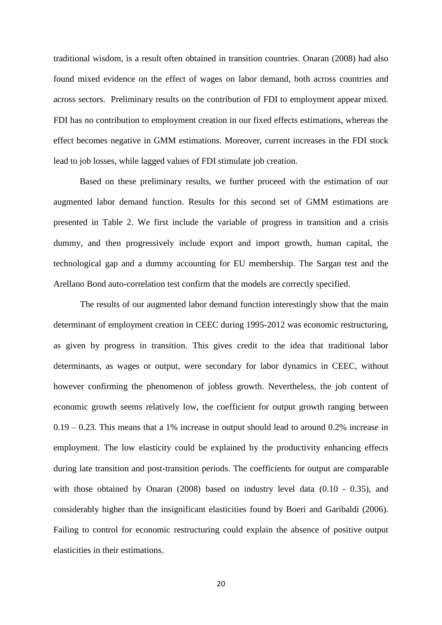traditional wisdom, is a result often obtained in transition countries. Onaran (2008) had also found mixed evidence on the effect of wages on labor demand, both across countries and across sectors. Preliminary results on the contribution of FDI to employment appear mixed. FDI has no contribution to employment creation in our fixed effects estimations, whereas the effect becomes negative in GMM estimations. Moreover, current increases in the FDI stock lead to job losses, while lagged values of FDI stimulate job creation.

Based on these preliminary results, we further proceed with the estimation of our augmented labor demand function. Results for this second set of GMM estimations are presented in Table 2. We first include the variable of progress in transition and a crisis dummy, and then progressively include export and import growth, human capital, the technological gap and a dummy accounting for EU membership. The Sargan test and the Arellano Bond auto-correlation test confirm that the models are correctly specified.

The results of our augmented labor demand function interestingly show that the main determinant of employment creation in CEEC during 1995-2012 was economic restructuring, as given by progress in transition. This gives credit to the idea that traditional labor determinants, as wages or output, were secondary for labor dynamics in CEEC, without however confirming the phenomenon of jobless growth. Nevertheless, the job content of economic growth seems relatively low, the coefficient for output growth ranging between 0.19 – 0.23. This means that a 1% increase in output should lead to around 0.2% increase in employment. The low elasticity could be explained by the productivity enhancing effects during late transition and post-transition periods. The coefficients for output are comparable with those obtained by Onaran (2008) based on industry level data (0.10 - 0.35), and considerably higher than the insignificant elasticities found by Boeri and Garibaldi (2006). Failing to control for economic restructuring could explain the absence of positive output elasticities in their estimations.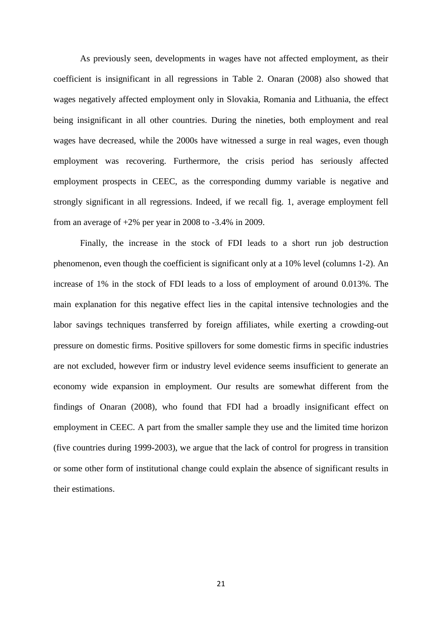As previously seen, developments in wages have not affected employment, as their coefficient is insignificant in all regressions in Table 2. Onaran (2008) also showed that wages negatively affected employment only in Slovakia, Romania and Lithuania, the effect being insignificant in all other countries. During the nineties, both employment and real wages have decreased, while the 2000s have witnessed a surge in real wages, even though employment was recovering. Furthermore, the crisis period has seriously affected employment prospects in CEEC, as the corresponding dummy variable is negative and strongly significant in all regressions. Indeed, if we recall fig. 1, average employment fell from an average of  $+2\%$  per year in 2008 to  $-3.4\%$  in 2009.

Finally, the increase in the stock of FDI leads to a short run job destruction phenomenon, even though the coefficient is significant only at a 10% level (columns 1-2). An increase of 1% in the stock of FDI leads to a loss of employment of around 0.013%. The main explanation for this negative effect lies in the capital intensive technologies and the labor savings techniques transferred by foreign affiliates, while exerting a crowding-out pressure on domestic firms. Positive spillovers for some domestic firms in specific industries are not excluded, however firm or industry level evidence seems insufficient to generate an economy wide expansion in employment. Our results are somewhat different from the findings of Onaran (2008), who found that FDI had a broadly insignificant effect on employment in CEEC. A part from the smaller sample they use and the limited time horizon (five countries during 1999-2003), we argue that the lack of control for progress in transition or some other form of institutional change could explain the absence of significant results in their estimations.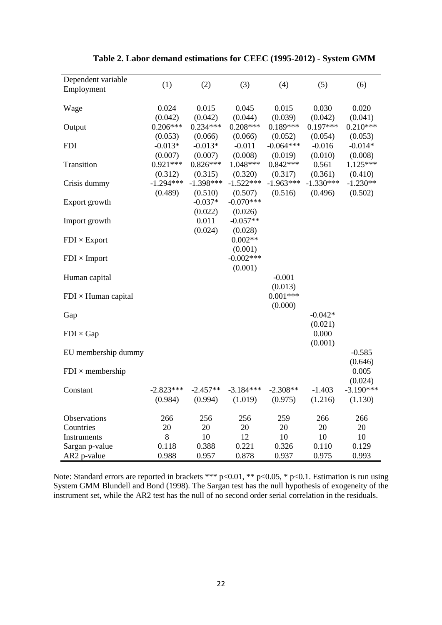| Dependent variable         | (1)                             | (2)                             | (3)                            | (4)                               | (5)                            | (6)                             |
|----------------------------|---------------------------------|---------------------------------|--------------------------------|-----------------------------------|--------------------------------|---------------------------------|
| Employment                 |                                 |                                 |                                |                                   |                                |                                 |
| Wage                       | 0.024                           | 0.015                           | 0.045<br>(0.044)               | 0.015                             | 0.030<br>(0.042)               | 0.020                           |
| Output                     | (0.042)<br>$0.206***$           | (0.042)<br>$0.234***$           | $0.208***$                     | (0.039)<br>$0.189***$             | $0.197***$                     | (0.041)<br>$0.210***$           |
| <b>FDI</b>                 | (0.053)<br>$-0.013*$<br>(0.007) | (0.066)<br>$-0.013*$<br>(0.007) | (0.066)<br>$-0.011$<br>(0.008) | (0.052)<br>$-0.064***$<br>(0.019) | (0.054)<br>$-0.016$<br>(0.010) | (0.053)<br>$-0.014*$<br>(0.008) |
| Transition                 | $0.921***$<br>(0.312)           | $0.826***$<br>(0.315)           | 1.048***<br>(0.320)            | $0.842***$<br>(0.317)             | 0.561<br>(0.361)               | $1.125***$<br>(0.410)           |
| Crisis dummy               | $-1.294***$<br>(0.489)          | $-1.398***$<br>(0.510)          | $-1.522***$<br>(0.507)         | $-1.963***$<br>(0.516)            | $-1.330***$<br>(0.496)         | $-1.230**$<br>(0.502)           |
| Export growth              |                                 | $-0.037*$<br>(0.022)            | $-0.070***$<br>(0.026)         |                                   |                                |                                 |
| Import growth              |                                 | 0.011<br>(0.024)                | $-0.057**$<br>(0.028)          |                                   |                                |                                 |
| $FDI \times Expert$        |                                 |                                 | $0.002**$<br>(0.001)           |                                   |                                |                                 |
| $FDI \times Import$        |                                 |                                 | $-0.002***$<br>(0.001)         |                                   |                                |                                 |
| Human capital              |                                 |                                 |                                | $-0.001$<br>(0.013)               |                                |                                 |
| $FDI \times Human capital$ |                                 |                                 |                                | $0.001***$<br>(0.000)             |                                |                                 |
| Gap                        |                                 |                                 |                                |                                   | $-0.042*$<br>(0.021)           |                                 |
| $FDI \times Gap$           |                                 |                                 |                                |                                   | 0.000<br>(0.001)               |                                 |
| EU membership dummy        |                                 |                                 |                                |                                   |                                | $-0.585$<br>(0.646)             |
| $FDI \times membership$    |                                 |                                 |                                |                                   |                                | 0.005<br>(0.024)                |
| Constant                   | $-2.823***$<br>(0.984)          | $-2.457**$<br>(0.994)           | $-3.184***$<br>(1.019)         | $-2.308**$<br>(0.975)             | $-1.403$<br>(1.216)            | $-3.190***$<br>(1.130)          |
| Observations               | 266                             | 256                             | 256                            | 259                               | 266                            | 266                             |
| Countries                  | 20                              | 20                              | 20                             | 20                                | 20                             | 20                              |
| Instruments                | 8                               | 10                              | 12                             | 10                                | 10                             | 10                              |
| Sargan p-value             | 0.118                           | 0.388                           | 0.221                          | 0.326                             | 0.110                          | 0.129                           |
| AR2 p-value                | 0.988                           | 0.957                           | 0.878                          | 0.937                             | 0.975                          | 0.993                           |

**Table 2. Labor demand estimations for CEEC (1995-2012) - System GMM**

Note: Standard errors are reported in brackets \*\*\* p<0.01, \*\* p<0.05, \* p<0.1. Estimation is run using System GMM Blundell and Bond (1998). The Sargan test has the null hypothesis of exogeneity of the instrument set, while the AR2 test has the null of no second order serial correlation in the residuals.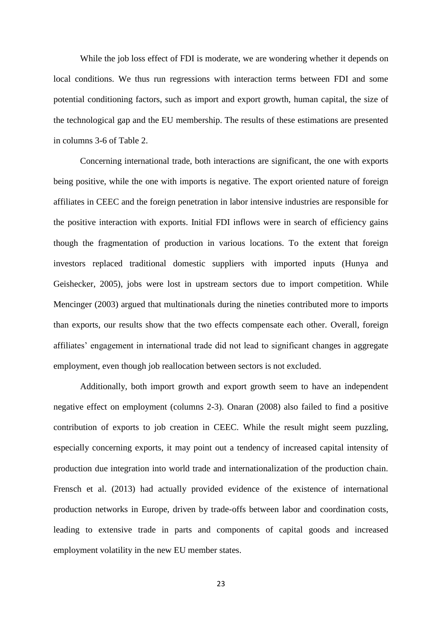While the job loss effect of FDI is moderate, we are wondering whether it depends on local conditions. We thus run regressions with interaction terms between FDI and some potential conditioning factors, such as import and export growth, human capital, the size of the technological gap and the EU membership. The results of these estimations are presented in columns 3-6 of Table 2.

Concerning international trade, both interactions are significant, the one with exports being positive, while the one with imports is negative. The export oriented nature of foreign affiliates in CEEC and the foreign penetration in labor intensive industries are responsible for the positive interaction with exports. Initial FDI inflows were in search of efficiency gains though the fragmentation of production in various locations. To the extent that foreign investors replaced traditional domestic suppliers with imported inputs (Hunya and Geishecker, 2005), jobs were lost in upstream sectors due to import competition. While Mencinger (2003) argued that multinationals during the nineties contributed more to imports than exports, our results show that the two effects compensate each other. Overall, foreign affiliates' engagement in international trade did not lead to significant changes in aggregate employment, even though job reallocation between sectors is not excluded.

Additionally, both import growth and export growth seem to have an independent negative effect on employment (columns 2-3). Onaran (2008) also failed to find a positive contribution of exports to job creation in CEEC. While the result might seem puzzling, especially concerning exports, it may point out a tendency of increased capital intensity of production due integration into world trade and internationalization of the production chain. Frensch et al. (2013) had actually provided evidence of the existence of international production networks in Europe, driven by trade-offs between labor and coordination costs, leading to extensive trade in parts and components of capital goods and increased employment volatility in the new EU member states.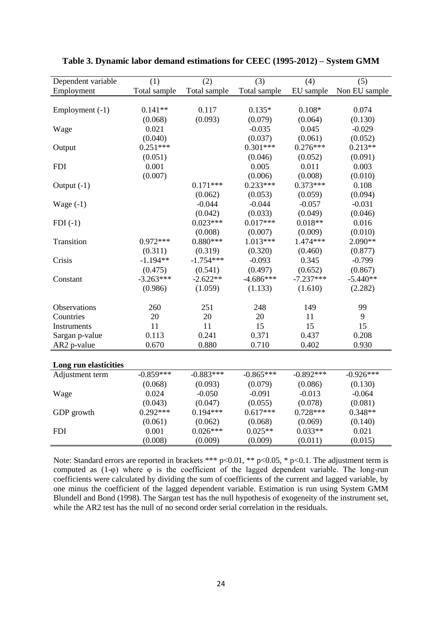| Dependent variable    | (1)          | (2)          | (3)          | (4)         | (5)           |
|-----------------------|--------------|--------------|--------------|-------------|---------------|
| Employment            | Total sample | Total sample | Total sample | EU sample   | Non EU sample |
|                       |              |              |              |             |               |
| Employment (-1)       | $0.141**$    | 0.117        | $0.135*$     | $0.108*$    | 0.074         |
|                       | (0.068)      | (0.093)      | (0.079)      | (0.064)     | (0.130)       |
| Wage                  | 0.021        |              | $-0.035$     | 0.045       | $-0.029$      |
|                       | (0.040)      |              | (0.037)      | (0.061)     | (0.052)       |
| Output                | $0.251***$   |              | $0.301***$   | $0.276***$  | $0.213**$     |
|                       | (0.051)      |              | (0.046)      | (0.052)     | (0.091)       |
| <b>FDI</b>            | 0.001        |              | 0.005        | 0.011       | 0.003         |
|                       | (0.007)      |              | (0.006)      | (0.008)     | (0.010)       |
| Output $(-1)$         |              | $0.171***$   | $0.233***$   | $0.373***$  | 0.108         |
|                       |              | (0.062)      | (0.053)      | (0.059)     | (0.094)       |
| Wage $(-1)$           |              | $-0.044$     | $-0.044$     | $-0.057$    | $-0.031$      |
|                       |              | (0.042)      | (0.033)      | (0.049)     | (0.046)       |
| $FDI(-1)$             |              | $0.023***$   | $0.017***$   | $0.018**$   | 0.016         |
|                       |              | (0.008)      | (0.007)      | (0.009)     | (0.010)       |
| Transition            | $0.972***$   | $0.880***$   | 1.013***     | 1.474 ***   | 2.090**       |
|                       | (0.311)      | (0.319)      | (0.320)      | (0.460)     | (0.877)       |
| Crisis                | $-1.194**$   | $-1.754***$  | $-0.093$     | 0.345       | $-0.799$      |
|                       | (0.475)      | (0.541)      | (0.497)      | (0.652)     | (0.867)       |
| Constant              | $-3.263***$  | $-2.622**$   | $-4.686***$  | $-7.237***$ | $-5.440**$    |
|                       | (0.986)      | (1.059)      | (1.133)      | (1.610)     | (2.282)       |
|                       |              |              |              |             |               |
| Observations          | 260          | 251          | 248          | 149         | 99            |
| Countries             | 20           | 20           | 20           | 11          | 9             |
| Instruments           | 11           | 11           | 15           | 15          | 15            |
| Sargan p-value        | 0.113        | 0.241        | 0.371        | 0.437       | 0.208         |
| AR2 p-value           | 0.670        | 0.880        | 0.710        | 0.402       | 0.930         |
|                       |              |              |              |             |               |
| Long run elasticities |              |              |              |             |               |
| Adjustment term       | $-0.859***$  | $-0.883***$  | $-0.865***$  | $-0.892***$ | $-0.926***$   |
|                       | (0.068)      | (0.093)      | (0.079)      | (0.086)     | (0.130)       |
| Wage                  | 0.024        | $-0.050$     | $-0.091$     | $-0.013$    | $-0.064$      |
|                       | (0.043)      | (0.047)      | (0.055)      | (0.078)     | (0.081)       |
| GDP growth            | $0.292***$   | $0.194***$   | $0.617***$   | $0.728***$  | $0.348**$     |
|                       | (0.061)      | (0.062)      | (0.068)      | (0.069)     | (0.140)       |
| <b>FDI</b>            | 0.001        | $0.026***$   | $0.025**$    | $0.033**$   | 0.021         |
|                       | (0.008)      | (0.009)      | (0.009)      | (0.011)     | (0.015)       |

**Table 3. Dynamic labor demand estimations for CEEC (1995-2012) – System GMM**

Note: Standard errors are reported in brackets \*\*\*  $p<0.01$ , \*\*  $p<0.05$ , \*  $p<0.1$ . The adjustment term is computed as (1-φ) where φ is the coefficient of the lagged dependent variable. The long-run coefficients were calculated by dividing the sum of coefficients of the current and lagged variable, by one minus the coefficient of the lagged dependent variable. Estimation is run using System GMM Blundell and Bond (1998). The Sargan test has the null hypothesis of exogeneity of the instrument set, while the AR2 test has the null of no second order serial correlation in the residuals.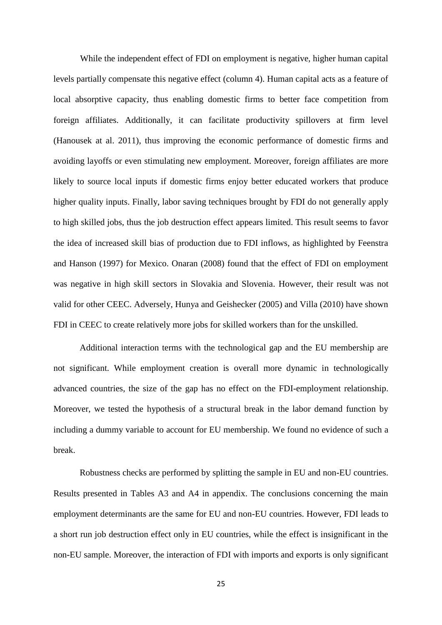While the independent effect of FDI on employment is negative, higher human capital levels partially compensate this negative effect (column 4). Human capital acts as a feature of local absorptive capacity, thus enabling domestic firms to better face competition from foreign affiliates. Additionally, it can facilitate productivity spillovers at firm level (Hanousek at al. 2011), thus improving the economic performance of domestic firms and avoiding layoffs or even stimulating new employment. Moreover, foreign affiliates are more likely to source local inputs if domestic firms enjoy better educated workers that produce higher quality inputs. Finally, labor saving techniques brought by FDI do not generally apply to high skilled jobs, thus the job destruction effect appears limited. This result seems to favor the idea of increased skill bias of production due to FDI inflows, as highlighted by Feenstra and Hanson (1997) for Mexico. Onaran (2008) found that the effect of FDI on employment was negative in high skill sectors in Slovakia and Slovenia. However, their result was not valid for other CEEC. Adversely, Hunya and Geishecker (2005) and Villa (2010) have shown FDI in CEEC to create relatively more jobs for skilled workers than for the unskilled.

Additional interaction terms with the technological gap and the EU membership are not significant. While employment creation is overall more dynamic in technologically advanced countries, the size of the gap has no effect on the FDI-employment relationship. Moreover, we tested the hypothesis of a structural break in the labor demand function by including a dummy variable to account for EU membership. We found no evidence of such a break.

Robustness checks are performed by splitting the sample in EU and non-EU countries. Results presented in Tables A3 and A4 in appendix. The conclusions concerning the main employment determinants are the same for EU and non-EU countries. However, FDI leads to a short run job destruction effect only in EU countries, while the effect is insignificant in the non-EU sample. Moreover, the interaction of FDI with imports and exports is only significant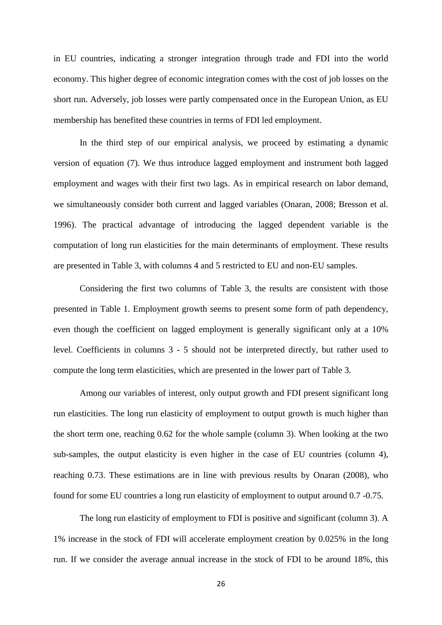in EU countries, indicating a stronger integration through trade and FDI into the world economy. This higher degree of economic integration comes with the cost of job losses on the short run. Adversely, job losses were partly compensated once in the European Union, as EU membership has benefited these countries in terms of FDI led employment.

In the third step of our empirical analysis, we proceed by estimating a dynamic version of equation (7). We thus introduce lagged employment and instrument both lagged employment and wages with their first two lags. As in empirical research on labor demand, we simultaneously consider both current and lagged variables (Onaran, 2008; Bresson et al. 1996). The practical advantage of introducing the lagged dependent variable is the computation of long run elasticities for the main determinants of employment. These results are presented in Table 3, with columns 4 and 5 restricted to EU and non-EU samples.

Considering the first two columns of Table 3, the results are consistent with those presented in Table 1. Employment growth seems to present some form of path dependency, even though the coefficient on lagged employment is generally significant only at a 10% level. Coefficients in columns 3 - 5 should not be interpreted directly, but rather used to compute the long term elasticities, which are presented in the lower part of Table 3.

Among our variables of interest, only output growth and FDI present significant long run elasticities. The long run elasticity of employment to output growth is much higher than the short term one, reaching 0.62 for the whole sample (column 3). When looking at the two sub-samples, the output elasticity is even higher in the case of EU countries (column 4), reaching 0.73. These estimations are in line with previous results by Onaran (2008), who found for some EU countries a long run elasticity of employment to output around 0.7 -0.75.

The long run elasticity of employment to FDI is positive and significant (column 3). A 1% increase in the stock of FDI will accelerate employment creation by 0.025% in the long run. If we consider the average annual increase in the stock of FDI to be around 18%, this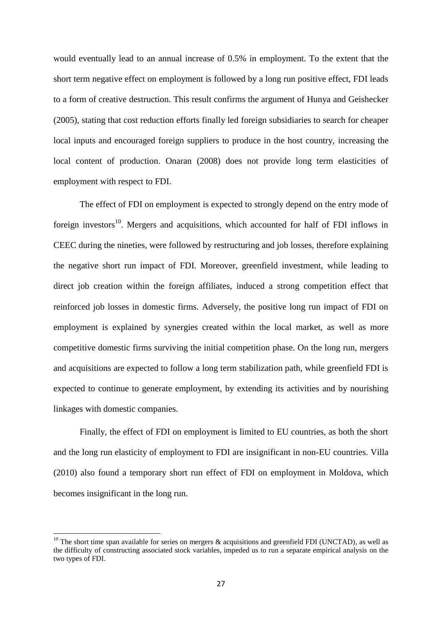would eventually lead to an annual increase of 0.5% in employment. To the extent that the short term negative effect on employment is followed by a long run positive effect, FDI leads to a form of creative destruction. This result confirms the argument of Hunya and Geishecker (2005), stating that cost reduction efforts finally led foreign subsidiaries to search for cheaper local inputs and encouraged foreign suppliers to produce in the host country, increasing the local content of production. Onaran (2008) does not provide long term elasticities of employment with respect to FDI.

The effect of FDI on employment is expected to strongly depend on the entry mode of foreign investors<sup>10</sup>. Mergers and acquisitions, which accounted for half of FDI inflows in CEEC during the nineties, were followed by restructuring and job losses, therefore explaining the negative short run impact of FDI. Moreover, greenfield investment, while leading to direct job creation within the foreign affiliates, induced a strong competition effect that reinforced job losses in domestic firms. Adversely, the positive long run impact of FDI on employment is explained by synergies created within the local market, as well as more competitive domestic firms surviving the initial competition phase. On the long run, mergers and acquisitions are expected to follow a long term stabilization path, while greenfield FDI is expected to continue to generate employment, by extending its activities and by nourishing linkages with domestic companies.

Finally, the effect of FDI on employment is limited to EU countries, as both the short and the long run elasticity of employment to FDI are insignificant in non-EU countries. Villa (2010) also found a temporary short run effect of FDI on employment in Moldova, which becomes insignificant in the long run.

**.** 

<sup>&</sup>lt;sup>10</sup> The short time span available for series on mergers  $\&$  acquisitions and greenfield FDI (UNCTAD), as well as the difficulty of constructing associated stock variables, impeded us to run a separate empirical analysis on the two types of FDI.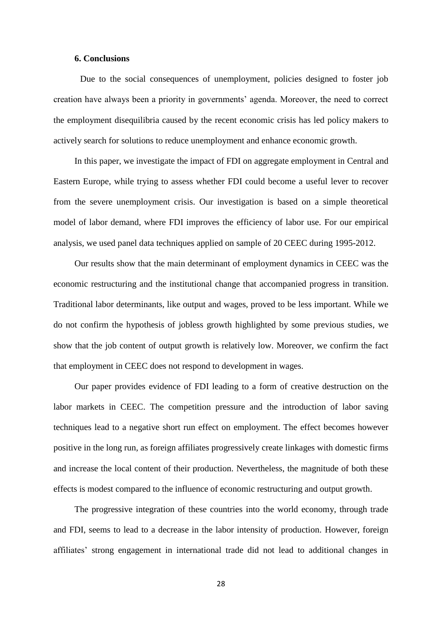#### **6. Conclusions**

Due to the social consequences of unemployment, policies designed to foster job creation have always been a priority in governments' agenda. Moreover, the need to correct the employment disequilibria caused by the recent economic crisis has led policy makers to actively search for solutions to reduce unemployment and enhance economic growth.

In this paper, we investigate the impact of FDI on aggregate employment in Central and Eastern Europe, while trying to assess whether FDI could become a useful lever to recover from the severe unemployment crisis. Our investigation is based on a simple theoretical model of labor demand, where FDI improves the efficiency of labor use. For our empirical analysis, we used panel data techniques applied on sample of 20 CEEC during 1995-2012.

Our results show that the main determinant of employment dynamics in CEEC was the economic restructuring and the institutional change that accompanied progress in transition. Traditional labor determinants, like output and wages, proved to be less important. While we do not confirm the hypothesis of jobless growth highlighted by some previous studies, we show that the job content of output growth is relatively low. Moreover, we confirm the fact that employment in CEEC does not respond to development in wages.

Our paper provides evidence of FDI leading to a form of creative destruction on the labor markets in CEEC. The competition pressure and the introduction of labor saving techniques lead to a negative short run effect on employment. The effect becomes however positive in the long run, as foreign affiliates progressively create linkages with domestic firms and increase the local content of their production. Nevertheless, the magnitude of both these effects is modest compared to the influence of economic restructuring and output growth.

The progressive integration of these countries into the world economy, through trade and FDI, seems to lead to a decrease in the labor intensity of production. However, foreign affiliates' strong engagement in international trade did not lead to additional changes in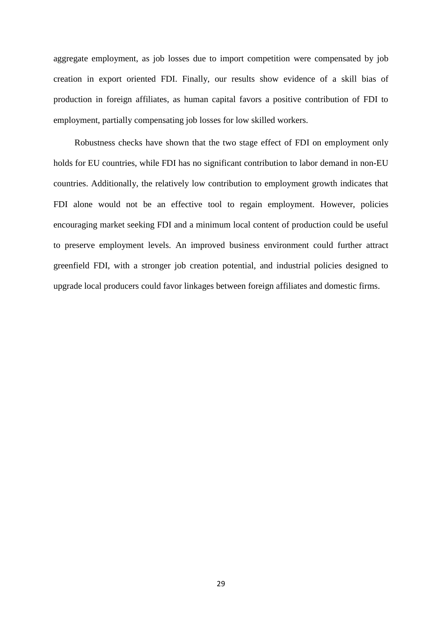aggregate employment, as job losses due to import competition were compensated by job creation in export oriented FDI. Finally, our results show evidence of a skill bias of production in foreign affiliates, as human capital favors a positive contribution of FDI to employment, partially compensating job losses for low skilled workers.

Robustness checks have shown that the two stage effect of FDI on employment only holds for EU countries, while FDI has no significant contribution to labor demand in non-EU countries. Additionally, the relatively low contribution to employment growth indicates that FDI alone would not be an effective tool to regain employment. However, policies encouraging market seeking FDI and a minimum local content of production could be useful to preserve employment levels. An improved business environment could further attract greenfield FDI, with a stronger job creation potential, and industrial policies designed to upgrade local producers could favor linkages between foreign affiliates and domestic firms.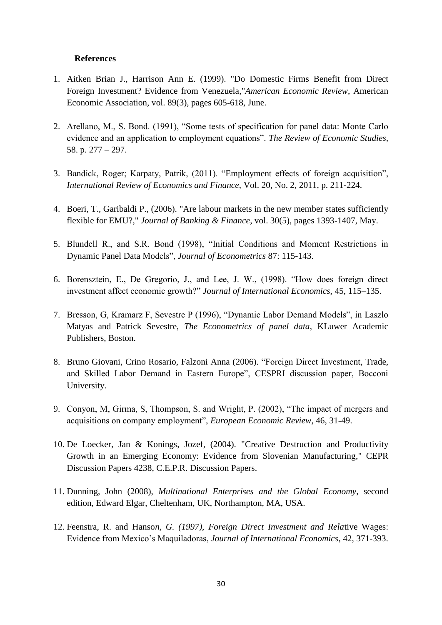### **References**

- 1. Aitken Brian J., Harrison Ann E. (1999). ["Do Domestic Firms Benefit from Direct](http://ideas.repec.org/a/aea/aecrev/v89y1999i3p605-618.html)  [Foreign Investment? Evidence from Venezuela,](http://ideas.repec.org/a/aea/aecrev/v89y1999i3p605-618.html)"*[American Economic Review](http://ideas.repec.org/s/aea/aecrev.html)*, American Economic Association, vol. 89(3), pages 605-618, June.
- 2. Arellano, M., S. Bond. (1991), "Some tests of specification for panel data: Monte Carlo evidence and an application to employment equations"*. The Review of Economic Studies,*  58. p. 277 – 297.
- 3. Bandick, Roger; Karpaty, Patrik, (2011). "Employment effects of foreign acquisition", *International Review of Economics and Finance*, Vol. 20, No. 2, 2011, p. 211-224.
- 4. Boeri, T., Garibaldi P., (2006). "Are labour markets in the new member states sufficiently flexible for EMU?," *Journal of Banking & Finance*, vol. 30(5), pages 1393-1407, May.
- 5. Blundell R., and S.R. Bond (1998), "Initial Conditions and Moment Restrictions in Dynamic Panel Data Models", *Journal of Econometrics* 87: 115-143.
- 6. Borensztein, E., De Gregorio, J., and Lee, J. W., (1998). "How does foreign direct investment affect economic growth?" *Journal of International Economics*, 45, 115–135.
- 7. Bresson, G, Kramarz F, Sevestre P (1996), "Dynamic Labor Demand Models", in Laszlo Matyas and Patrick Sevestre, *The Econometrics of panel data*, KLuwer Academic Publishers, Boston.
- 8. Bruno Giovani, Crino Rosario, Falzoni Anna (2006). "Foreign Direct Investment, Trade, and Skilled Labor Demand in Eastern Europe", CESPRI discussion paper, Bocconi University.
- 9. Conyon, M, Girma, S, Thompson, S. and Wright, P. (2002), "The impact of mergers and acquisitions on company employment", *European Economic Review*, 46, 31-49.
- 10. De Loecker, Jan & Konings, Jozef, (2004). ["Creative Destruction and Productivity](http://ideas.repec.org/p/cpr/ceprdp/4238.html)  [Growth in an Emerging Economy: Evidence from Slovenian Manufacturing,](http://ideas.repec.org/p/cpr/ceprdp/4238.html)" [CEPR](http://ideas.repec.org/s/cpr/ceprdp.html)  [Discussion Papers](http://ideas.repec.org/s/cpr/ceprdp.html) 4238, C.E.P.R. Discussion Papers.
- 11. Dunning, John (2008), *Multinational Enterprises and the Global Economy*, second edition, Edward Elgar, Cheltenham, UK, Northampton, MA, USA.
- 12. Feenstra, R. and Hanso*n, G. (1997), Foreign Direct Investment and Rela*tive Wages: Evidence from Mexico's Maquiladoras, *Journal of International Economics*, 42, 371-393.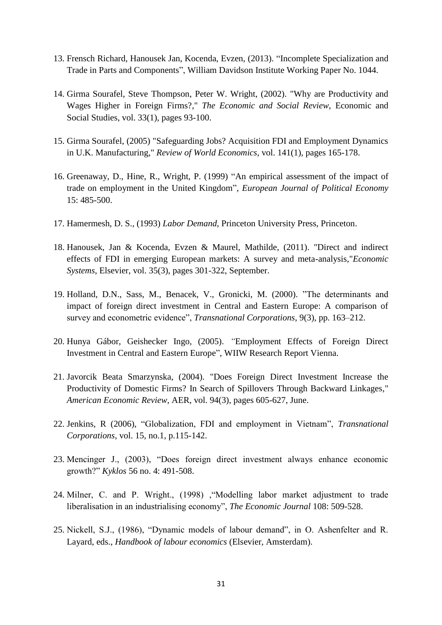- 13. Frensch Richard, Hanousek Jan, Kocenda, Evzen, (2013). "Incomplete Specialization and Trade in Parts and Components", William Davidson Institute Working Paper No. 1044.
- 14. Girma Sourafel, Steve Thompson, Peter W. Wright, (2002). ["Why are Productivity and](http://ideas.repec.org/a/eso/journl/v33y2002i1p93-100.html)  [Wages Higher in](http://ideas.repec.org/a/eso/journl/v33y2002i1p93-100.html) Foreign Firms?," *[The Economic and Social Review](http://ideas.repec.org/s/eso/journl.html)*, Economic and Social Studies, vol. 33(1), pages 93-100.
- 15. Girma Sourafel, (2005) ["Safeguarding Jobs? Acquisition FDI and Employment Dynamics](http://ideas.repec.org/a/spr/weltar/v141y2005i1p165-178.html)  [in U.K. Manufacturing,](http://ideas.repec.org/a/spr/weltar/v141y2005i1p165-178.html)" *[Review of World Economics](http://ideas.repec.org/s/spr/weltar.html)*, vol. 141(1), pages 165-178.
- 16. Greenaway, D., Hine, R., Wright, P. (1999) "An empirical assessment of the impact of trade on employment in the United Kingdom", *European Journal of Political Economy* 15: 485-500.
- 17. Hamermesh, D. S., (1993) *Labor Demand*, Princeton University Press, Princeton.
- 18. Hanousek, Jan & Kocenda, Evzen & Maurel, Mathilde, (2011). ["Direct and indirect](http://ideas.repec.org/a/eee/ecosys/v35y2011i3p301-322.html)  [effects of FDI in emerging European markets: A survey and meta-analysis,](http://ideas.repec.org/a/eee/ecosys/v35y2011i3p301-322.html)"*[Economic](http://ideas.repec.org/s/eee/ecosys.html)  [Systems](http://ideas.repec.org/s/eee/ecosys.html)*, Elsevier, vol. 35(3), pages 301-322, September.
- 19. Holland, D.N., Sass, M., Benacek, V., Gronicki, M. (2000). "The determinants and impact of foreign direct investment in Central and Eastern Europe: A comparison of survey and econometric evidence", *Transnational Corporations*, 9(3), pp. 163–212.
- 20. Hunya Gábor, Geishecker Ingo, (2005). *"*Employment Effects of Foreign Direct Investment in Central and Eastern Europe", WIIW Research Report Vienna.
- 21. Javorcik Beata Smarzynska, (2004). ["Does Foreign Direct Investment Increase the](http://ideas.repec.org/a/aea/aecrev/v94y2004i3p605-627.html)  [Productivity of Domestic Firms? In Search of Spillovers Through Backward Linkages,](http://ideas.repec.org/a/aea/aecrev/v94y2004i3p605-627.html)" *[American Economic Review](http://ideas.repec.org/s/aea/aecrev.html)*, AER, vol. 94(3), pages 605-627, June.
- 22. Jenkins, R (2006), "Globalization, FDI and employment in Vietnam", *Transnational Corporations*, vol. 15, no.1, p.115-142.
- 23. Mencinger J., (2003), "Does foreign direct investment always enhance economic growth?" *Kyklos* 56 no. 4: 491-508.
- 24. Milner, C. and P. Wright., (1998) ,"Modelling labor market adjustment to trade liberalisation in an industrialising economy", *The Economic Journal* 108: 509-528.
- 25. Nickell, S.J., (1986), "Dynamic models of labour demand", in O. Ashenfelter and R. Layard, eds., *Handbook of labour economics* (Elsevier, Amsterdam).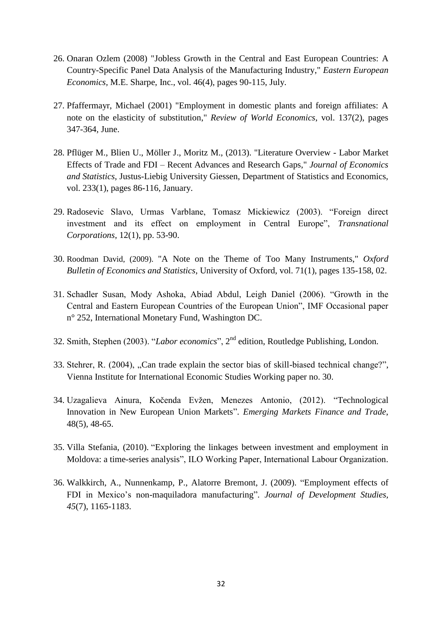- 26. Onaran Ozlem (2008) ["Jobless Growth in the Central and East European Countries: A](http://ideas.repec.org/a/mes/eaeuec/v46y2008i4p90-115.html)  [Country-Specific Panel Data Analysis of the Manufacturing Industry,](http://ideas.repec.org/a/mes/eaeuec/v46y2008i4p90-115.html)" *[Eastern European](http://ideas.repec.org/s/mes/eaeuec.html)  [Economics,](http://ideas.repec.org/s/mes/eaeuec.html)* M.E. Sharpe, Inc., vol. 46(4), pages 90-115, July.
- 27. Pfaffermayr, Michael (2001) ["Employment in domestic plants and foreign affiliates: A](http://ideas.repec.org/a/spr/weltar/v137y2001i2p347-364.html)  [note on the elasticity of substitution,](http://ideas.repec.org/a/spr/weltar/v137y2001i2p347-364.html)" *[Review of World Economics](http://ideas.repec.org/s/spr/weltar.html)*, vol. 137(2), pages 347-364, June.
- 28. Pflüger M., Blien U., Möller J., Moritz M., (2013). "Literature Overview Labor Market Effects of Trade and FDI – Recent Advances and Research Gaps," *Journal of Economics and Statistics*, Justus-Liebig University Giessen, Department of Statistics and Economics, vol. 233(1), pages 86-116, January.
- 29. Radosevic Slavo, Urmas Varblane, Tomasz Mickiewicz (2003). "Foreign direct investment and its effect on employment in Central Europe", *Transnational Corporations*, 12(1), pp. 53-90.
- 30. Roodman David, (2009). "A Note on the Theme of Too Many Instruments," *Oxford Bulletin of Economics and Statistics*, University of Oxford, vol. 71(1), pages 135-158, 02.
- 31. Schadler Susan, Mody Ashoka, Abiad Abdul, Leigh Daniel (2006). "Growth in the Central and Eastern European Countries of the European Union", IMF Occasional paper n° 252, International Monetary Fund, Washington DC.
- 32. Smith, Stephen (2003). "*Labor economics*", 2<sup>nd</sup> edition, Routledge Publishing, London.
- 33. Stehrer, R. (2004), "Can trade explain the sector bias of skill-biased technical change?", Vienna Institute for International Economic Studies Working paper no. 30.
- 34. Uzagalieva Ainura, Kočenda Evžen, Menezes Antonio, (2012). "Technological Innovation in New European Union Markets". *Emerging Markets Finance and Trade*, 48(5), 48-65.
- 35. Villa Stefania, (2010). ["Exploring the linkages between investment and employment in](http://econpapers.repec.org/RePEc:ilo:ilowps:455342)  [Moldova: a time-series analysis"](http://econpapers.repec.org/RePEc:ilo:ilowps:455342), ILO Working Paper, International Labour Organization.
- 36. Walkkirch, A., Nunnenkamp, P., Alatorre Bremont, J. (2009). "Employment effects of FDI in Mexico's non-maquiladora manufacturing". *Journal of Development Studies, 45*(7), 1165-1183.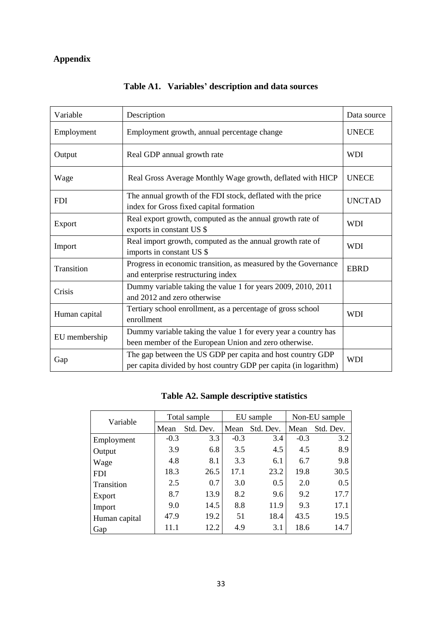# **Appendix**

| Variable      | Description                                                                                                                    | Data source   |
|---------------|--------------------------------------------------------------------------------------------------------------------------------|---------------|
| Employment    | Employment growth, annual percentage change                                                                                    | <b>UNECE</b>  |
| Output        | Real GDP annual growth rate                                                                                                    | <b>WDI</b>    |
| Wage          | Real Gross Average Monthly Wage growth, deflated with HICP                                                                     | <b>UNECE</b>  |
| <b>FDI</b>    | The annual growth of the FDI stock, deflated with the price<br>index for Gross fixed capital formation                         | <b>UNCTAD</b> |
| Export        | Real export growth, computed as the annual growth rate of<br>exports in constant US \$                                         | <b>WDI</b>    |
| Import        | Real import growth, computed as the annual growth rate of<br>imports in constant US \$                                         | <b>WDI</b>    |
| Transition    | Progress in economic transition, as measured by the Governance<br>and enterprise restructuring index                           | <b>EBRD</b>   |
| Crisis        | Dummy variable taking the value 1 for years 2009, 2010, 2011<br>and 2012 and zero otherwise                                    |               |
| Human capital | Tertiary school enrollment, as a percentage of gross school<br>enrollment                                                      | <b>WDI</b>    |
| EU membership | Dummy variable taking the value 1 for every year a country has<br>been member of the European Union and zero otherwise.        |               |
| Gap           | The gap between the US GDP per capita and host country GDP<br>per capita divided by host country GDP per capita (in logarithm) | <b>WDI</b>    |

# **Table A1. Variables' description and data sources**

# **Table A2. Sample descriptive statistics**

| Variable      | Total sample |           |        | EU sample | Non-EU sample |           |
|---------------|--------------|-----------|--------|-----------|---------------|-----------|
|               | Mean         | Std. Dev. | Mean   | Std. Dev. | Mean          | Std. Dev. |
| Employment    | $-0.3$       | 3.3       | $-0.3$ | 3.4       | $-0.3$        | 3.2       |
| Output        | 3.9          | 6.8       | 3.5    | 4.5       | 4.5           | 8.9       |
| Wage          | 4.8          | 8.1       | 3.3    | 6.1       | 6.7           | 9.8       |
| <b>FDI</b>    | 18.3         | 26.5      | 17.1   | 23.2      | 19.8          | 30.5      |
| Transition    | 2.5          | 0.7       | 3.0    | 0.5       | 2.0           | 0.5       |
| Export        | 8.7          | 13.9      | 8.2    | 9.6       | 9.2           | 17.7      |
| Import        | 9.0          | 14.5      | 8.8    | 11.9      | 9.3           | 17.1      |
| Human capital | 47.9         | 19.2      | 51     | 18.4      | 43.5          | 19.5      |
| Gap           | 11.1         | 12.2      | 4.9    | 3.1       | 18.6          | 14.7      |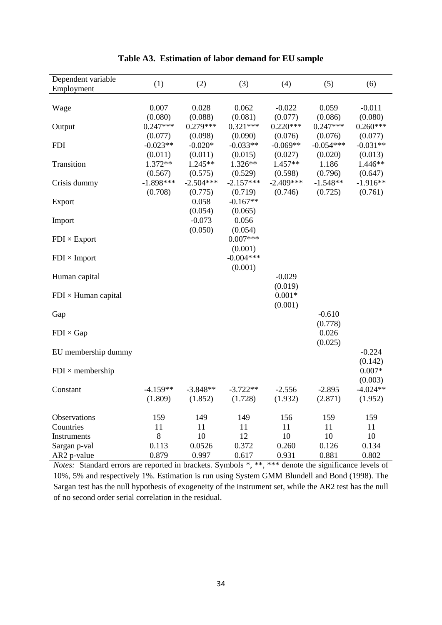| Dependent variable<br>Employment | (1)         | (2)         | (3)         | (4)         | (5)              | (6)        |
|----------------------------------|-------------|-------------|-------------|-------------|------------------|------------|
|                                  |             |             |             |             |                  |            |
| Wage                             | 0.007       | 0.028       | 0.062       | $-0.022$    | 0.059            | $-0.011$   |
|                                  | (0.080)     | (0.088)     | (0.081)     | (0.077)     | (0.086)          | (0.080)    |
| Output                           | $0.247***$  | $0.279***$  | $0.321***$  | $0.220***$  | $0.247***$       | $0.260***$ |
|                                  | (0.077)     | (0.098)     | (0.090)     | (0.076)     | (0.076)          | (0.077)    |
| <b>FDI</b>                       | $-0.023**$  | $-0.020*$   | $-0.033**$  | $-0.069**$  | $-0.054***$      | $-0.031**$ |
|                                  | (0.011)     | (0.011)     | (0.015)     | (0.027)     | (0.020)          | (0.013)    |
| Transition                       | 1.372**     | 1.245**     | 1.326**     | 1.457**     | 1.186            | 1.446**    |
|                                  | (0.567)     | (0.575)     | (0.529)     | (0.598)     | (0.796)          | (0.647)    |
| Crisis dummy                     | $-1.898***$ | $-2.504***$ | $-2.157***$ | $-2.409***$ | $-1.548**$       | $-1.916**$ |
|                                  | (0.708)     | (0.775)     | (0.719)     | (0.746)     | (0.725)          | (0.761)    |
| Export                           |             | 0.058       | $-0.167**$  |             |                  |            |
|                                  |             | (0.054)     | (0.065)     |             |                  |            |
| Import                           |             | $-0.073$    | 0.056       |             |                  |            |
|                                  |             | (0.050)     | (0.054)     |             |                  |            |
| $FDI \times Expert$              |             |             | $0.007***$  |             |                  |            |
|                                  |             |             | (0.001)     |             |                  |            |
| $FDI \times Import$              |             |             | $-0.004***$ |             |                  |            |
|                                  |             |             | (0.001)     |             |                  |            |
| Human capital                    |             |             |             | $-0.029$    |                  |            |
|                                  |             |             |             | (0.019)     |                  |            |
| $FDI \times Human capital$       |             |             |             | $0.001*$    |                  |            |
|                                  |             |             |             | (0.001)     |                  |            |
| Gap                              |             |             |             |             | $-0.610$         |            |
|                                  |             |             |             |             | (0.778)<br>0.026 |            |
| $FDI \times Gap$                 |             |             |             |             |                  |            |
| EU membership dummy              |             |             |             |             | (0.025)          | $-0.224$   |
|                                  |             |             |             |             |                  | (0.142)    |
| $FDI \times membership$          |             |             |             |             |                  | $0.007*$   |
|                                  |             |             |             |             |                  | (0.003)    |
| Constant                         | $-4.159**$  | $-3.848**$  | $-3.722**$  | $-2.556$    | $-2.895$         | $-4.024**$ |
|                                  | (1.809)     | (1.852)     | (1.728)     | (1.932)     | (2.871)          | (1.952)    |
|                                  |             |             |             |             |                  |            |
| Observations                     | 159         | 149         | 149         | 156         | 159              | 159        |
| Countries                        | 11          | 11          | 11          | 11          | 11               | 11         |
| Instruments                      | 8           | 10          | 12          | 10          | 10               | 10         |
| Sargan p-val                     | 0.113       | 0.0526      | 0.372       | 0.260       | 0.126            | 0.134      |
| AR2 p-value                      | 0.879       | 0.997       | 0.617       | 0.931       | 0.881            | 0.802      |

|  | Table A3. Estimation of labor demand for EU sample |  |  |  |  |  |
|--|----------------------------------------------------|--|--|--|--|--|
|--|----------------------------------------------------|--|--|--|--|--|

*Notes:* Standard errors are reported in brackets. Symbols \*, \*\*, \*\*\* denote the significance levels of 10%, 5% and respectively 1%. Estimation is run using System GMM Blundell and Bond (1998). The Sargan test has the null hypothesis of exogeneity of the instrument set, while the AR2 test has the null of no second order serial correlation in the residual.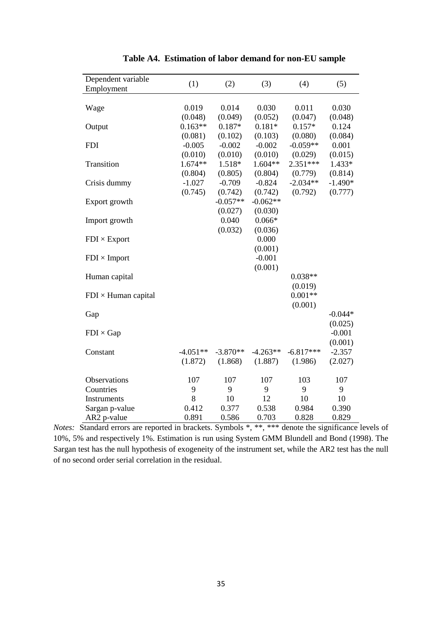| Dependent variable         | (1)        | (2)        | (3)        | (4)         | (5)       |
|----------------------------|------------|------------|------------|-------------|-----------|
| Employment                 |            |            |            |             |           |
| Wage                       | 0.019      | 0.014      | 0.030      | 0.011       | 0.030     |
|                            | (0.048)    | (0.049)    | (0.052)    | (0.047)     | (0.048)   |
| Output                     | $0.163**$  | $0.187*$   | $0.181*$   | $0.157*$    | 0.124     |
|                            | (0.081)    | (0.102)    | (0.103)    | (0.080)     | (0.084)   |
| <b>FDI</b>                 | $-0.005$   | $-0.002$   | $-0.002$   | $-0.059**$  | 0.001     |
|                            | (0.010)    | (0.010)    | (0.010)    | (0.029)     | (0.015)   |
| Transition                 | $1.674**$  | 1.518*     | $1.604**$  | 2.351***    | 1.433*    |
|                            | (0.804)    | (0.805)    | (0.804)    | (0.779)     | (0.814)   |
| Crisis dummy               | $-1.027$   | $-0.709$   | $-0.824$   | $-2.034**$  | $-1.490*$ |
|                            | (0.745)    | (0.742)    | (0.742)    | (0.792)     | (0.777)   |
| Export growth              |            | $-0.057**$ | $-0.062**$ |             |           |
|                            |            | (0.027)    | (0.030)    |             |           |
| Import growth              |            | 0.040      | $0.066*$   |             |           |
|                            |            | (0.032)    | (0.036)    |             |           |
| $FDI \times Expert$        |            |            | 0.000      |             |           |
|                            |            |            | (0.001)    |             |           |
| $FDI \times Import$        |            |            | $-0.001$   |             |           |
|                            |            |            | (0.001)    |             |           |
| Human capital              |            |            |            | $0.038**$   |           |
|                            |            |            |            | (0.019)     |           |
| $FDI \times Human capital$ |            |            |            | $0.001**$   |           |
|                            |            |            |            | (0.001)     |           |
| Gap                        |            |            |            |             | $-0.044*$ |
|                            |            |            |            |             | (0.025)   |
| $FDI \times Gap$           |            |            |            |             | $-0.001$  |
|                            |            |            |            |             | (0.001)   |
| Constant                   | $-4.051**$ | $-3.870**$ | $-4.263**$ | $-6.817***$ | $-2.357$  |
|                            | (1.872)    | (1.868)    | (1.887)    | (1.986)     | (2.027)   |
| Observations               | 107        | 107        | 107        | 103         | 107       |
| Countries                  | 9          | 9          | 9          | 9           | 9         |
| Instruments                | 8          | 10         | 12         | $10\,$      | 10        |
| Sargan p-value             | 0.412      | 0.377      | 0.538      | 0.984       | 0.390     |
| AR2 p-value                | 0.891      | 0.586      | 0.703      | 0.828       | 0.829     |

**Table A4. Estimation of labor demand for non-EU sample**

*Notes:* Standard errors are reported in brackets. Symbols \*, \*\*, \*\*\* denote the significance levels of 10%, 5% and respectively 1%. Estimation is run using System GMM Blundell and Bond (1998). The Sargan test has the null hypothesis of exogeneity of the instrument set, while the AR2 test has the null of no second order serial correlation in the residual.